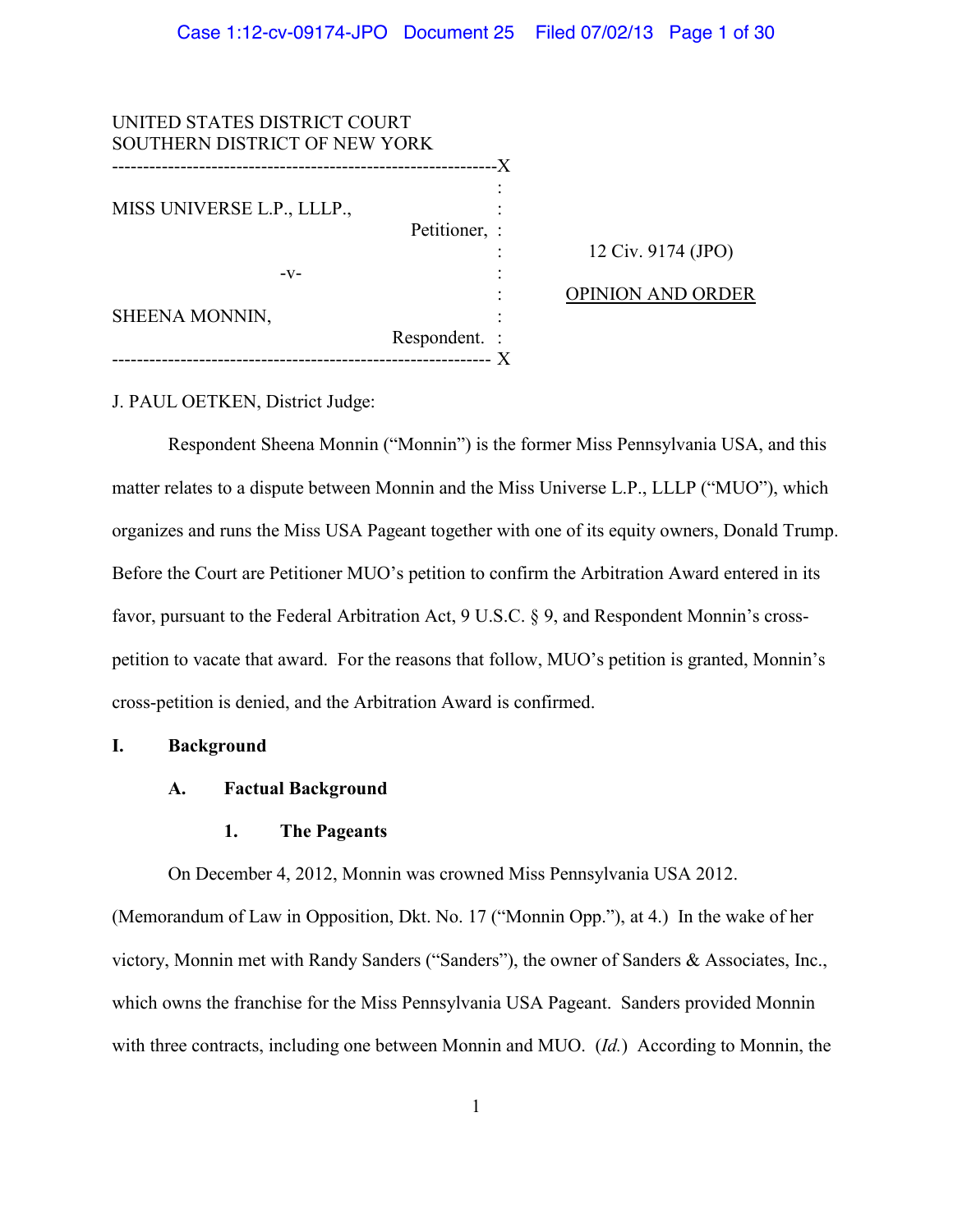| UNITED STATES DISTRICT COURT         |               |                          |
|--------------------------------------|---------------|--------------------------|
| <b>SOUTHERN DISTRICT OF NEW YORK</b> |               |                          |
| ---------------------------          | -X            |                          |
| MISS UNIVERSE L.P., LLLP.,           |               |                          |
|                                      |               |                          |
|                                      | Petitioner, : |                          |
|                                      |               | 12 Civ. 9174 (JPO)       |
| $-V-$                                |               |                          |
| SHEENA MONNIN,                       |               | <b>OPINION AND ORDER</b> |
|                                      |               |                          |
|                                      | Respondent. : |                          |
|                                      |               |                          |

J. PAUL OETKEN, District Judge:

Respondent Sheena Monnin ("Monnin") is the former Miss Pennsylvania USA, and this matter relates to a dispute between Monnin and the Miss Universe L.P., LLLP ("MUO"), which organizes and runs the Miss USA Pageant together with one of its equity owners, Donald Trump. Before the Court are Petitioner MUO's petition to confirm the Arbitration Award entered in its favor, pursuant to the Federal Arbitration Act, 9 U.S.C. § 9, and Respondent Monnin's crosspetition to vacate that award. For the reasons that follow, MUO's petition is granted, Monnin's cross-petition is denied, and the Arbitration Award is confirmed.

# **I. Background**

# **A. Factual Background**

# **1. The Pageants**

On December 4, 2012, Monnin was crowned Miss Pennsylvania USA 2012.

(Memorandum of Law in Opposition, Dkt. No. 17 ("Monnin Opp."), at 4.) In the wake of her victory, Monnin met with Randy Sanders ("Sanders"), the owner of Sanders & Associates, Inc., which owns the franchise for the Miss Pennsylvania USA Pageant. Sanders provided Monnin with three contracts, including one between Monnin and MUO. (*Id.*) According to Monnin, the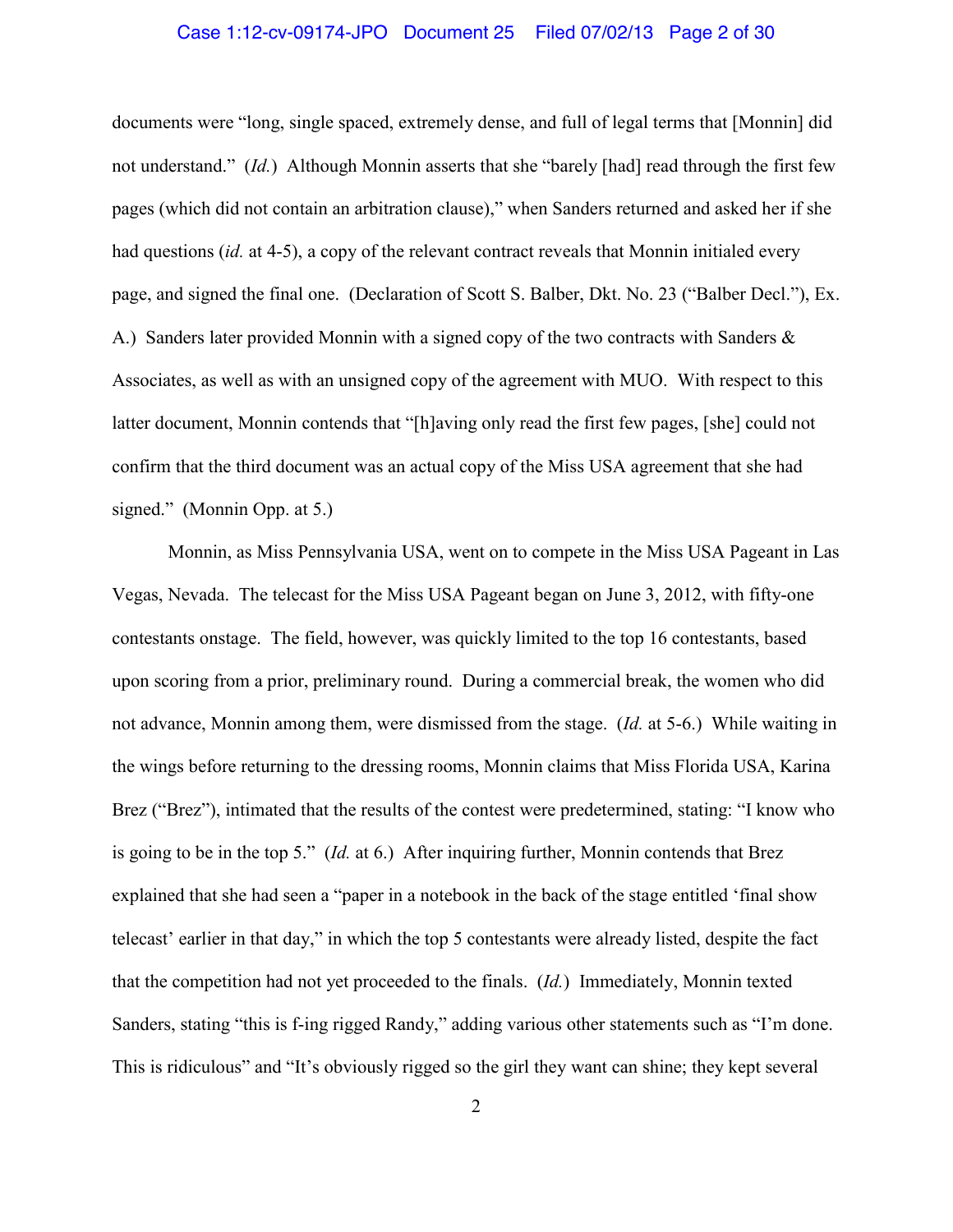### Case 1:12-cv-09174-JPO Document 25 Filed 07/02/13 Page 2 of 30

documents were "long, single spaced, extremely dense, and full of legal terms that [Monnin] did not understand." *(Id.)* Although Monnin asserts that she "barely [had] read through the first few pages (which did not contain an arbitration clause)," when Sanders returned and asked her if she had questions (*id.* at 4-5), a copy of the relevant contract reveals that Monnin initialed every page, and signed the final one. (Declaration of Scott S. Balber, Dkt. No. 23 ("Balber Decl."), Ex. A.) Sanders later provided Monnin with a signed copy of the two contracts with Sanders & Associates, as well as with an unsigned copy of the agreement with MUO. With respect to this latter document, Monnin contends that "[h]aving only read the first few pages, [she] could not confirm that the third document was an actual copy of the Miss USA agreement that she had signed." (Monnin Opp. at 5.)

Monnin, as Miss Pennsylvania USA, went on to compete in the Miss USA Pageant in Las Vegas, Nevada. The telecast for the Miss USA Pageant began on June 3, 2012, with fifty-one contestants onstage. The field, however, was quickly limited to the top 16 contestants, based upon scoring from a prior, preliminary round. During a commercial break, the women who did not advance, Monnin among them, were dismissed from the stage. (*Id.* at 5-6.) While waiting in the wings before returning to the dressing rooms, Monnin claims that Miss Florida USA, Karina Brez ("Brez"), intimated that the results of the contest were predetermined, stating: "I know who is going to be in the top 5." (*Id.* at 6.) After inquiring further, Monnin contends that Brez explained that she had seen a "paper in a notebook in the back of the stage entitled 'final show telecast' earlier in that day," in which the top 5 contestants were already listed, despite the fact that the competition had not yet proceeded to the finals. (*Id.*) Immediately, Monnin texted Sanders, stating "this is f-ing rigged Randy," adding various other statements such as "I'm done. This is ridiculous" and "It's obviously rigged so the girl they want can shine; they kept several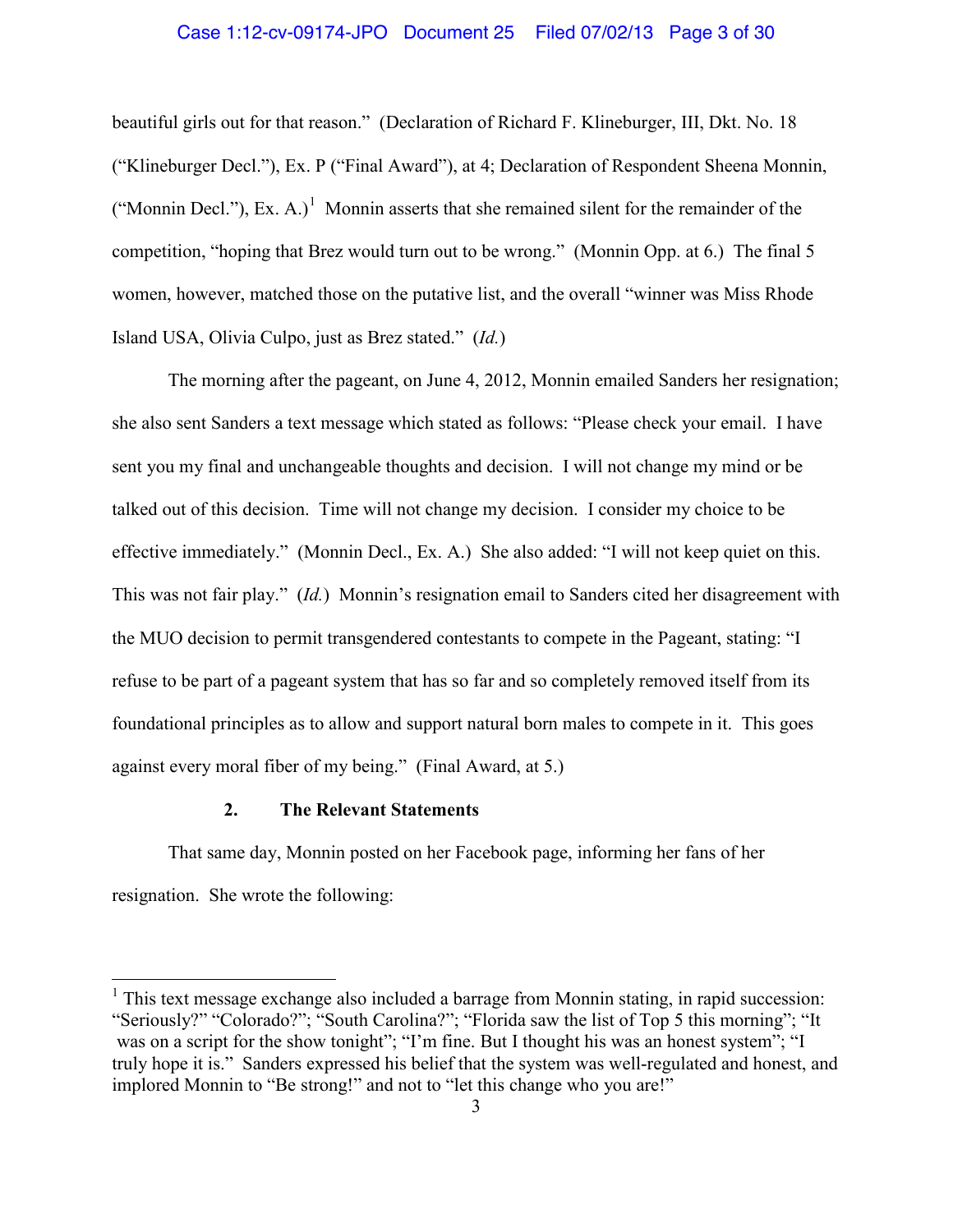### Case 1:12-cv-09174-JPO Document 25 Filed 07/02/13 Page 3 of 30

beautiful girls out for that reason." (Declaration of Richard F. Klineburger, III, Dkt. No. 18 ("Klineburger Decl."), Ex. P ("Final Award"), at 4; Declaration of Respondent Sheena Monnin, ("Monnin Decl."), Ex. A.)<sup>[1](#page-2-0)</sup> Monnin asserts that she remained silent for the remainder of the competition, "hoping that Brez would turn out to be wrong." (Monnin Opp. at 6.) The final 5 women, however, matched those on the putative list, and the overall "winner was Miss Rhode Island USA, Olivia Culpo, just as Brez stated." (*Id.*)

The morning after the pageant, on June 4, 2012, Monnin emailed Sanders her resignation; she also sent Sanders a text message which stated as follows: "Please check your email. I have sent you my final and unchangeable thoughts and decision. I will not change my mind or be talked out of this decision. Time will not change my decision. I consider my choice to be effective immediately." (Monnin Decl., Ex. A.) She also added: "I will not keep quiet on this. This was not fair play." (*Id.*) Monnin's resignation email to Sanders cited her disagreement with the MUO decision to permit transgendered contestants to compete in the Pageant, stating: "I refuse to be part of a pageant system that has so far and so completely removed itself from its foundational principles as to allow and support natural born males to compete in it. This goes against every moral fiber of my being." (Final Award, at 5.)

# **2. The Relevant Statements**

That same day, Monnin posted on her Facebook page, informing her fans of her resignation. She wrote the following:

<span id="page-2-0"></span> $<sup>1</sup>$  This text message exchange also included a barrage from Monnin stating, in rapid succession:</sup> "Seriously?" "Colorado?"; "South Carolina?"; "Florida saw the list of Top 5 this morning"; "It was on a script for the show tonight"; "I'm fine. But I thought his was an honest system"; "I truly hope it is." Sanders expressed his belief that the system was well-regulated and honest, and implored Monnin to "Be strong!" and not to "let this change who you are!"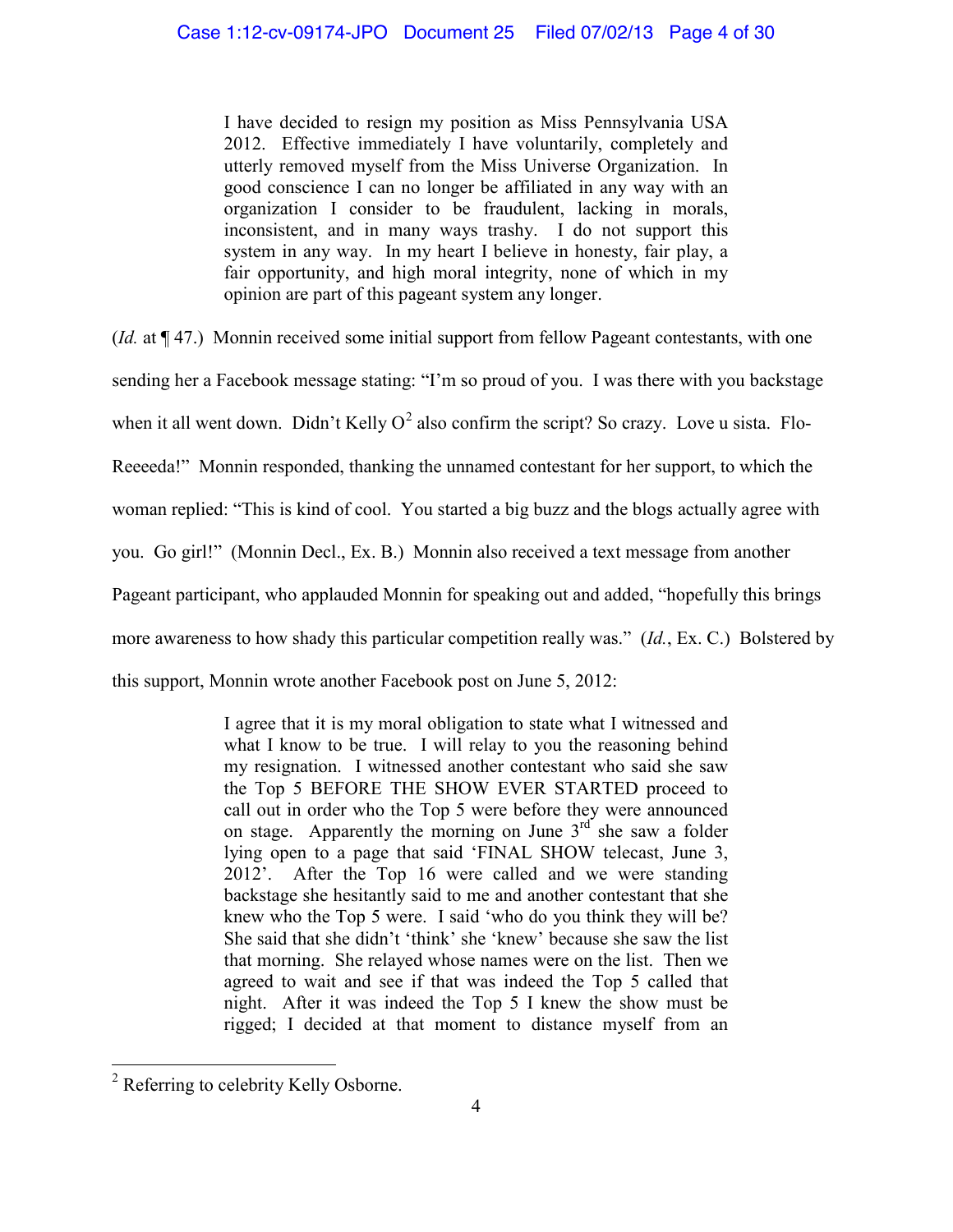I have decided to resign my position as Miss Pennsylvania USA 2012. Effective immediately I have voluntarily, completely and utterly removed myself from the Miss Universe Organization. In good conscience I can no longer be affiliated in any way with an organization I consider to be fraudulent, lacking in morals, inconsistent, and in many ways trashy. I do not support this system in any way. In my heart I believe in honesty, fair play, a fair opportunity, and high moral integrity, none of which in my opinion are part of this pageant system any longer.

(*Id.* at ¶ 47.) Monnin received some initial support from fellow Pageant contestants, with one sending her a Facebook message stating: "I'm so proud of you. I was there with you backstage when it all went down. Didn't Kelly  $O^2$  $O^2$  also confirm the script? So crazy. Love u sista. Flo-Reeeeda!" Monnin responded, thanking the unnamed contestant for her support, to which the woman replied: "This is kind of cool. You started a big buzz and the blogs actually agree with you. Go girl!" (Monnin Decl., Ex. B.) Monnin also received a text message from another Pageant participant, who applauded Monnin for speaking out and added, "hopefully this brings more awareness to how shady this particular competition really was." (*Id.*, Ex. C.) Bolstered by this support, Monnin wrote another Facebook post on June 5, 2012:

> I agree that it is my moral obligation to state what I witnessed and what I know to be true. I will relay to you the reasoning behind my resignation. I witnessed another contestant who said she saw the Top 5 BEFORE THE SHOW EVER STARTED proceed to call out in order who the Top 5 were before they were announced on stage. Apparently the morning on June  $3<sup>rd</sup>$  she saw a folder lying open to a page that said 'FINAL SHOW telecast, June 3, 2012'. After the Top 16 were called and we were standing backstage she hesitantly said to me and another contestant that she knew who the Top 5 were. I said 'who do you think they will be? She said that she didn't 'think' she 'knew' because she saw the list that morning. She relayed whose names were on the list. Then we agreed to wait and see if that was indeed the Top 5 called that night. After it was indeed the Top 5 I knew the show must be rigged; I decided at that moment to distance myself from an

<span id="page-3-0"></span> <sup>2</sup> Referring to celebrity Kelly Osborne.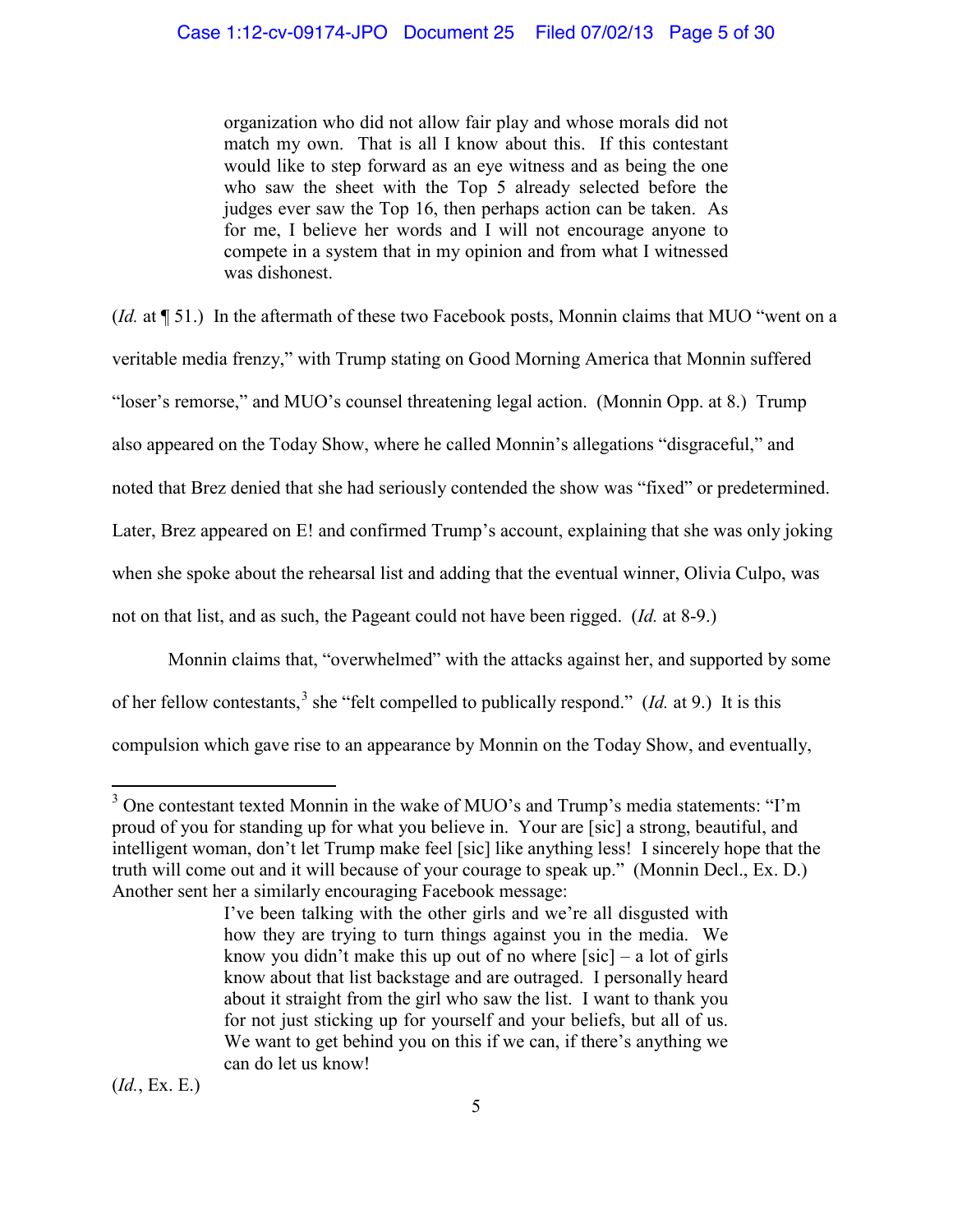organization who did not allow fair play and whose morals did not match my own. That is all I know about this. If this contestant would like to step forward as an eye witness and as being the one who saw the sheet with the Top 5 already selected before the judges ever saw the Top 16, then perhaps action can be taken. As for me, I believe her words and I will not encourage anyone to compete in a system that in my opinion and from what I witnessed was dishonest.

(*Id.* at ¶ 51.) In the aftermath of these two Facebook posts, Monnin claims that MUO "went on a veritable media frenzy," with Trump stating on Good Morning America that Monnin suffered "loser's remorse," and MUO's counsel threatening legal action. (Monnin Opp. at 8.) Trump also appeared on the Today Show, where he called Monnin's allegations "disgraceful," and noted that Brez denied that she had seriously contended the show was "fixed" or predetermined. Later, Brez appeared on E! and confirmed Trump's account, explaining that she was only joking when she spoke about the rehearsal list and adding that the eventual winner, Olivia Culpo, was not on that list, and as such, the Pageant could not have been rigged. (*Id.* at 8-9.)

Monnin claims that, "overwhelmed" with the attacks against her, and supported by some of her fellow contestants,<sup>[3](#page-4-0)</sup> she "felt compelled to publically respond." (*Id.* at 9.) It is this compulsion which gave rise to an appearance by Monnin on the Today Show, and eventually,

(*Id.*, Ex. E.)

<span id="page-4-0"></span><sup>&</sup>lt;sup>3</sup> One contestant texted Monnin in the wake of MUO's and Trump's media statements: "I'm proud of you for standing up for what you believe in. Your are [sic] a strong, beautiful, and intelligent woman, don't let Trump make feel [sic] like anything less! I sincerely hope that the truth will come out and it will because of your courage to speak up." (Monnin Decl., Ex. D.) Another sent her a similarly encouraging Facebook message:

I've been talking with the other girls and we're all disgusted with how they are trying to turn things against you in the media. We know you didn't make this up out of no where  $[sic]$  – a lot of girls know about that list backstage and are outraged. I personally heard about it straight from the girl who saw the list. I want to thank you for not just sticking up for yourself and your beliefs, but all of us. We want to get behind you on this if we can, if there's anything we can do let us know!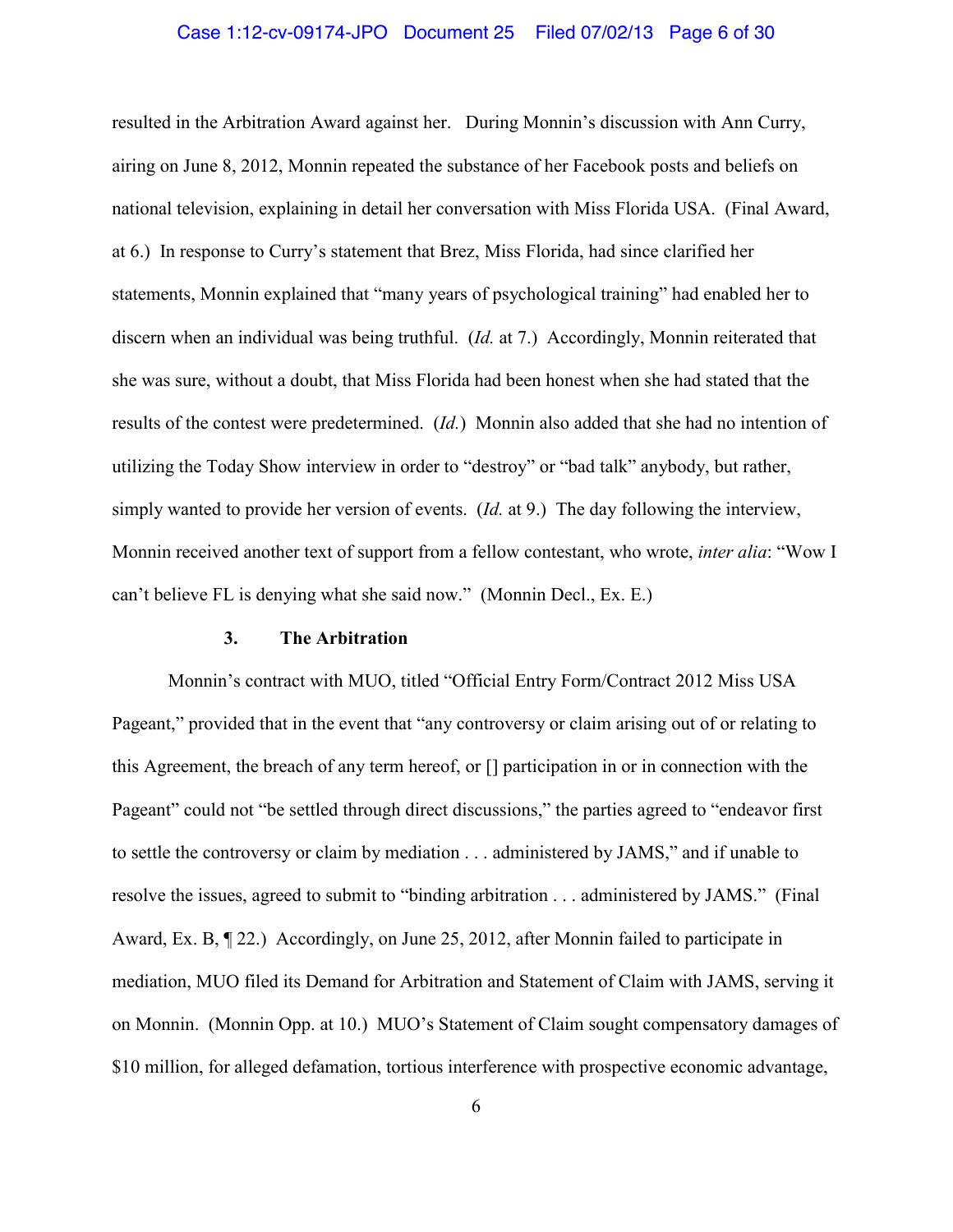### Case 1:12-cv-09174-JPO Document 25 Filed 07/02/13 Page 6 of 30

resulted in the Arbitration Award against her. During Monnin's discussion with Ann Curry, airing on June 8, 2012, Monnin repeated the substance of her Facebook posts and beliefs on national television, explaining in detail her conversation with Miss Florida USA. (Final Award, at 6.) In response to Curry's statement that Brez, Miss Florida, had since clarified her statements, Monnin explained that "many years of psychological training" had enabled her to discern when an individual was being truthful. (*Id.* at 7.) Accordingly, Monnin reiterated that she was sure, without a doubt, that Miss Florida had been honest when she had stated that the results of the contest were predetermined. (*Id.*) Monnin also added that she had no intention of utilizing the Today Show interview in order to "destroy" or "bad talk" anybody, but rather, simply wanted to provide her version of events. (*Id.* at 9.) The day following the interview, Monnin received another text of support from a fellow contestant, who wrote, *inter alia*: "Wow I can't believe FL is denying what she said now." (Monnin Decl., Ex. E.)

# **3. The Arbitration**

Monnin's contract with MUO, titled "Official Entry Form/Contract 2012 Miss USA Pageant," provided that in the event that "any controversy or claim arising out of or relating to this Agreement, the breach of any term hereof, or [] participation in or in connection with the Pageant" could not "be settled through direct discussions," the parties agreed to "endeavor first to settle the controversy or claim by mediation . . . administered by JAMS," and if unable to resolve the issues, agreed to submit to "binding arbitration . . . administered by JAMS." (Final Award, Ex. B, ¶ 22.) Accordingly, on June 25, 2012, after Monnin failed to participate in mediation, MUO filed its Demand for Arbitration and Statement of Claim with JAMS, serving it on Monnin. (Monnin Opp. at 10.) MUO's Statement of Claim sought compensatory damages of \$10 million, for alleged defamation, tortious interference with prospective economic advantage,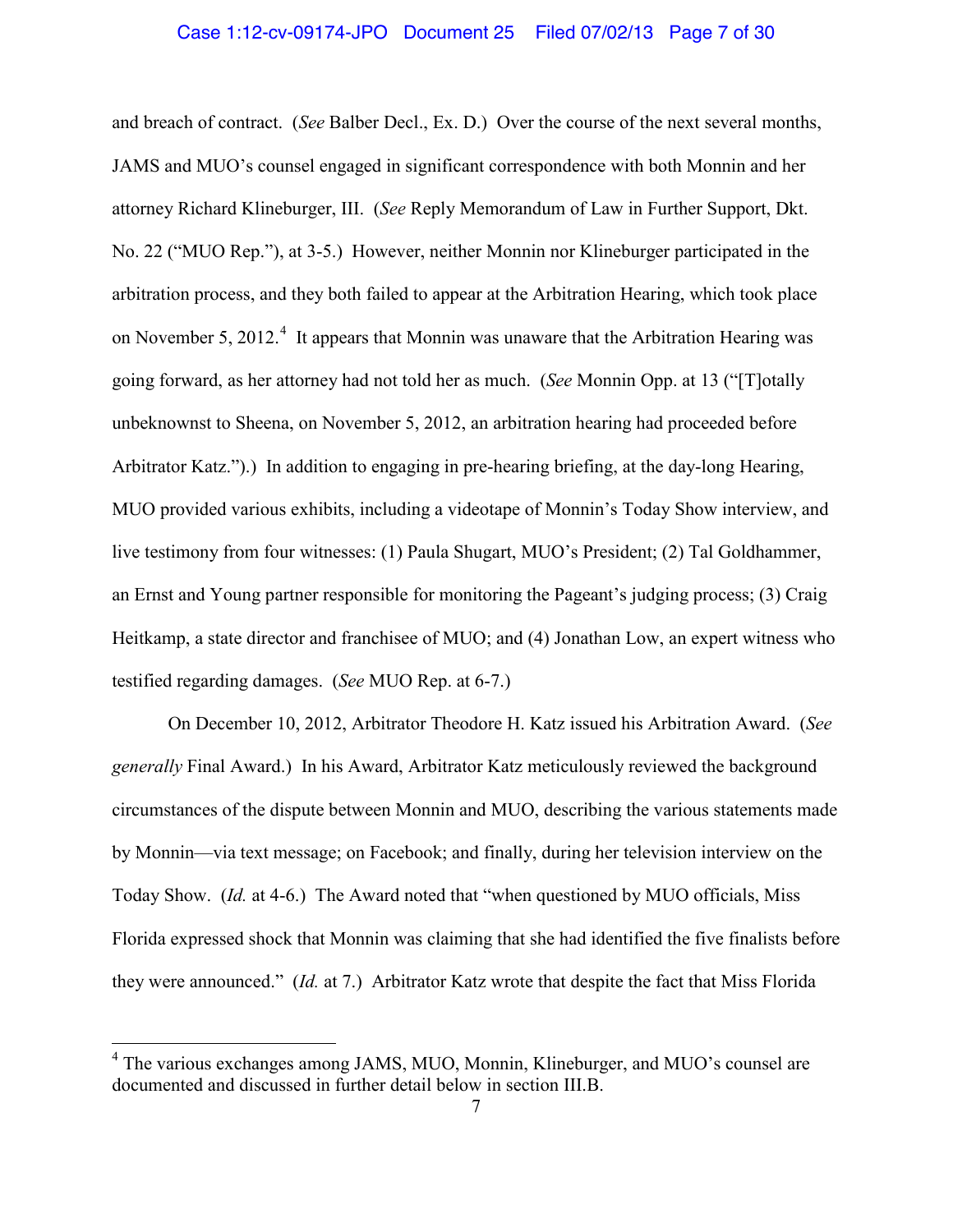#### Case 1:12-cv-09174-JPO Document 25 Filed 07/02/13 Page 7 of 30

and breach of contract. (*See* Balber Decl., Ex. D.) Over the course of the next several months, JAMS and MUO's counsel engaged in significant correspondence with both Monnin and her attorney Richard Klineburger, III. (*See* Reply Memorandum of Law in Further Support, Dkt. No. 22 ("MUO Rep."), at 3-5.) However, neither Monnin nor Klineburger participated in the arbitration process, and they both failed to appear at the Arbitration Hearing, which took place on November 5, 2012.<sup>[4](#page-6-0)</sup> It appears that Monnin was unaware that the Arbitration Hearing was going forward, as her attorney had not told her as much. (*See* Monnin Opp. at 13 ("[T]otally unbeknownst to Sheena, on November 5, 2012, an arbitration hearing had proceeded before Arbitrator Katz.").) In addition to engaging in pre-hearing briefing, at the day-long Hearing, MUO provided various exhibits, including a videotape of Monnin's Today Show interview, and live testimony from four witnesses: (1) Paula Shugart, MUO's President; (2) Tal Goldhammer, an Ernst and Young partner responsible for monitoring the Pageant's judging process; (3) Craig Heitkamp, a state director and franchisee of MUO; and (4) Jonathan Low, an expert witness who testified regarding damages. (*See* MUO Rep. at 6-7.)

On December 10, 2012, Arbitrator Theodore H. Katz issued his Arbitration Award. (*See generally* Final Award.) In his Award, Arbitrator Katz meticulously reviewed the background circumstances of the dispute between Monnin and MUO, describing the various statements made by Monnin—via text message; on Facebook; and finally, during her television interview on the Today Show. (*Id.* at 4-6.) The Award noted that "when questioned by MUO officials, Miss Florida expressed shock that Monnin was claiming that she had identified the five finalists before they were announced." (*Id.* at 7.) Arbitrator Katz wrote that despite the fact that Miss Florida

<span id="page-6-0"></span> <sup>4</sup> The various exchanges among JAMS, MUO, Monnin, Klineburger, and MUO's counsel are documented and discussed in further detail below in section III.B.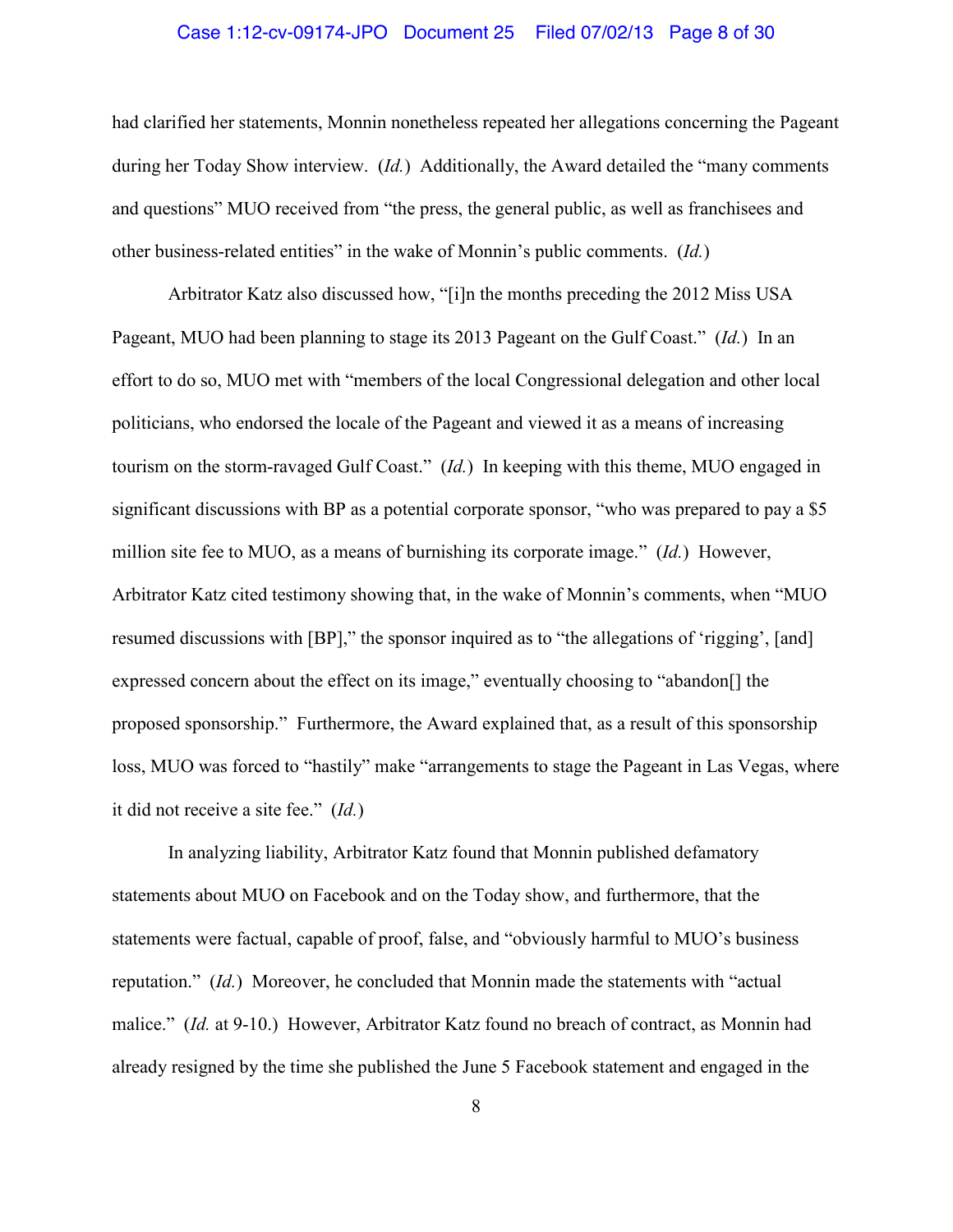### Case 1:12-cv-09174-JPO Document 25 Filed 07/02/13 Page 8 of 30

had clarified her statements, Monnin nonetheless repeated her allegations concerning the Pageant during her Today Show interview. (*Id.*) Additionally, the Award detailed the "many comments and questions" MUO received from "the press, the general public, as well as franchisees and other business-related entities" in the wake of Monnin's public comments. (*Id.*)

Arbitrator Katz also discussed how, "[i]n the months preceding the 2012 Miss USA Pageant, MUO had been planning to stage its 2013 Pageant on the Gulf Coast." (*Id.*) In an effort to do so, MUO met with "members of the local Congressional delegation and other local politicians, who endorsed the locale of the Pageant and viewed it as a means of increasing tourism on the storm-ravaged Gulf Coast." (*Id.*) In keeping with this theme, MUO engaged in significant discussions with BP as a potential corporate sponsor, "who was prepared to pay a \$5 million site fee to MUO, as a means of burnishing its corporate image." (*Id.*) However, Arbitrator Katz cited testimony showing that, in the wake of Monnin's comments, when "MUO resumed discussions with [BP]," the sponsor inquired as to "the allegations of 'rigging', [and] expressed concern about the effect on its image," eventually choosing to "abandon[] the proposed sponsorship." Furthermore, the Award explained that, as a result of this sponsorship loss, MUO was forced to "hastily" make "arrangements to stage the Pageant in Las Vegas, where it did not receive a site fee." (*Id.*)

In analyzing liability, Arbitrator Katz found that Monnin published defamatory statements about MUO on Facebook and on the Today show, and furthermore, that the statements were factual, capable of proof, false, and "obviously harmful to MUO's business reputation." (*Id.*) Moreover, he concluded that Monnin made the statements with "actual malice." (*Id.* at 9-10.) However, Arbitrator Katz found no breach of contract, as Monnin had already resigned by the time she published the June 5 Facebook statement and engaged in the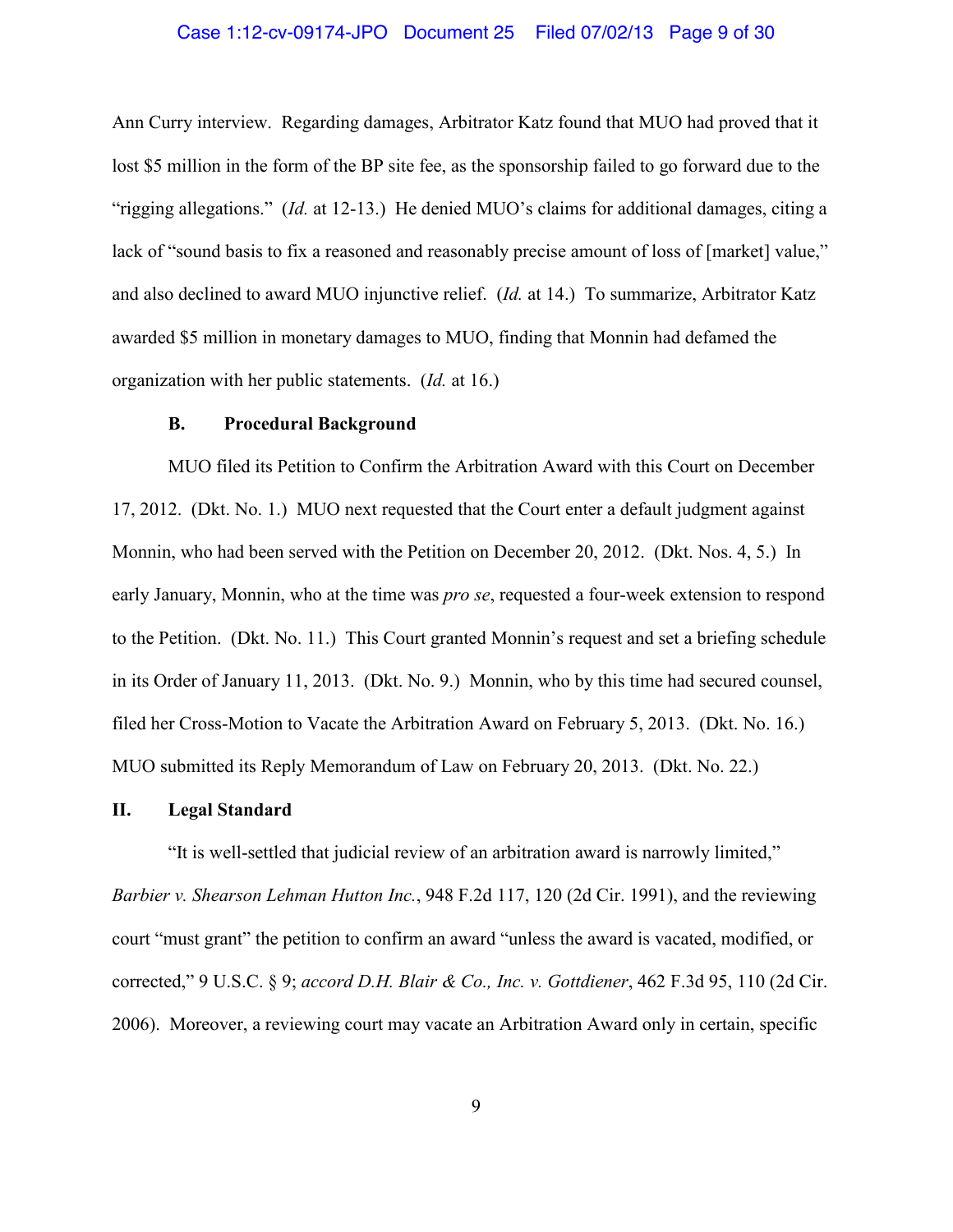### Case 1:12-cv-09174-JPO Document 25 Filed 07/02/13 Page 9 of 30

Ann Curry interview. Regarding damages, Arbitrator Katz found that MUO had proved that it lost \$5 million in the form of the BP site fee, as the sponsorship failed to go forward due to the "rigging allegations." (*Id.* at 12-13.) He denied MUO's claims for additional damages, citing a lack of "sound basis to fix a reasoned and reasonably precise amount of loss of [market] value," and also declined to award MUO injunctive relief. (*Id.* at 14.) To summarize, Arbitrator Katz awarded \$5 million in monetary damages to MUO, finding that Monnin had defamed the organization with her public statements. (*Id.* at 16.)

### **B. Procedural Background**

MUO filed its Petition to Confirm the Arbitration Award with this Court on December 17, 2012. (Dkt. No. 1.) MUO next requested that the Court enter a default judgment against Monnin, who had been served with the Petition on December 20, 2012. (Dkt. Nos. 4, 5.) In early January, Monnin, who at the time was *pro se*, requested a four-week extension to respond to the Petition. (Dkt. No. 11.) This Court granted Monnin's request and set a briefing schedule in its Order of January 11, 2013. (Dkt. No. 9.) Monnin, who by this time had secured counsel, filed her Cross-Motion to Vacate the Arbitration Award on February 5, 2013. (Dkt. No. 16.) MUO submitted its Reply Memorandum of Law on February 20, 2013. (Dkt. No. 22.)

#### **II. Legal Standard**

"It is well-settled that judicial review of an arbitration award is narrowly limited," *Barbier v. Shearson Lehman Hutton Inc.*, 948 F.2d 117, 120 (2d Cir. 1991), and the reviewing court "must grant" the petition to confirm an award "unless the award is vacated, modified, or corrected," 9 U.S.C. § 9; *accord D.H. Blair & Co., Inc. v. Gottdiener*, 462 F.3d 95, 110 (2d Cir. 2006). Moreover, a reviewing court may vacate an Arbitration Award only in certain, specific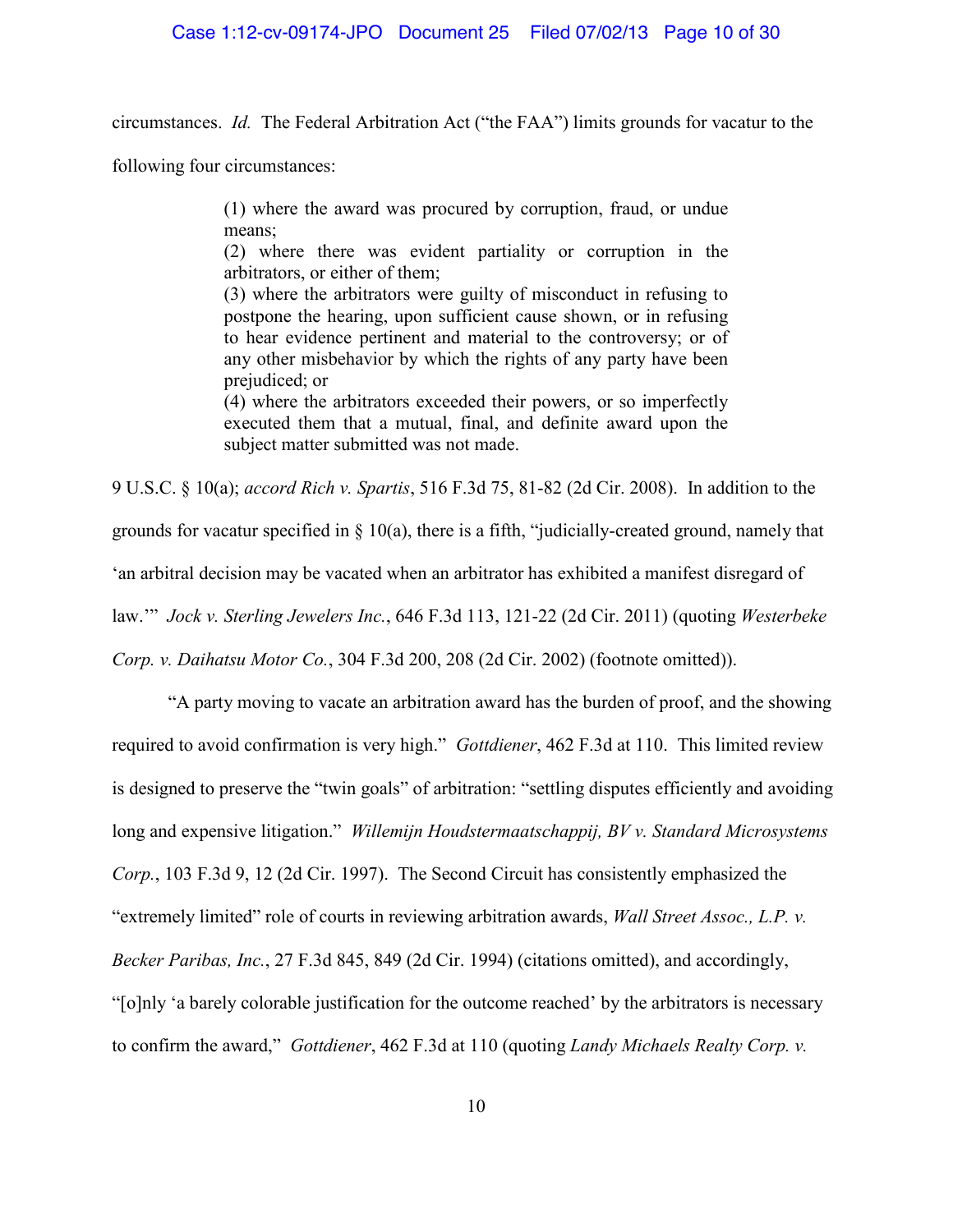circumstances. *Id.* The Federal Arbitration Act ("the FAA") limits grounds for vacatur to the

following four circumstances:

(1) where the award was procured by corruption, fraud, or undue means;

(2) where there was evident partiality or corruption in the arbitrators, or either of them;

(3) where the arbitrators were guilty of misconduct in refusing to postpone the hearing, upon sufficient cause shown, or in refusing to hear evidence pertinent and material to the controversy; or of any other misbehavior by which the rights of any party have been prejudiced; or

(4) where the arbitrators exceeded their powers, or so imperfectly executed them that a mutual, final, and definite award upon the subject matter submitted was not made.

9 U.S.C. § 10(a); *accord Rich v. Spartis*, 516 F.3d 75, 81-82 (2d Cir. 2008). In addition to the grounds for vacatur specified in § 10(a), there is a fifth, "judicially-created ground, namely that 'an arbitral decision may be vacated when an arbitrator has exhibited a manifest disregard of law.'" *Jock v. Sterling Jewelers Inc.*, 646 F.3d 113, 121-22 (2d Cir. 2011) (quoting *Westerbeke Corp. v. Daihatsu Motor Co.*, 304 F.3d 200, 208 (2d Cir. 2002) (footnote omitted)).

"A party moving to vacate an arbitration award has the burden of proof, and the showing required to avoid confirmation is very high." *Gottdiener*, 462 F.3d at 110. This limited review is designed to preserve the "twin goals" of arbitration: "settling disputes efficiently and avoiding long and expensive litigation." *Willemijn Houdstermaatschappij, BV v. Standard Microsystems Corp.*, 103 F.3d 9, 12 (2d Cir. 1997). The Second Circuit has consistently emphasized the "extremely limited" role of courts in reviewing arbitration awards, *Wall Street Assoc., L.P. v. Becker Paribas, Inc.*, 27 F.3d 845, 849 (2d Cir. 1994) (citations omitted), and accordingly, "[o]nly 'a barely colorable justification for the outcome reached' by the arbitrators is necessary to confirm the award," *Gottdiener*, 462 F.3d at 110 (quoting *Landy Michaels Realty Corp. v.*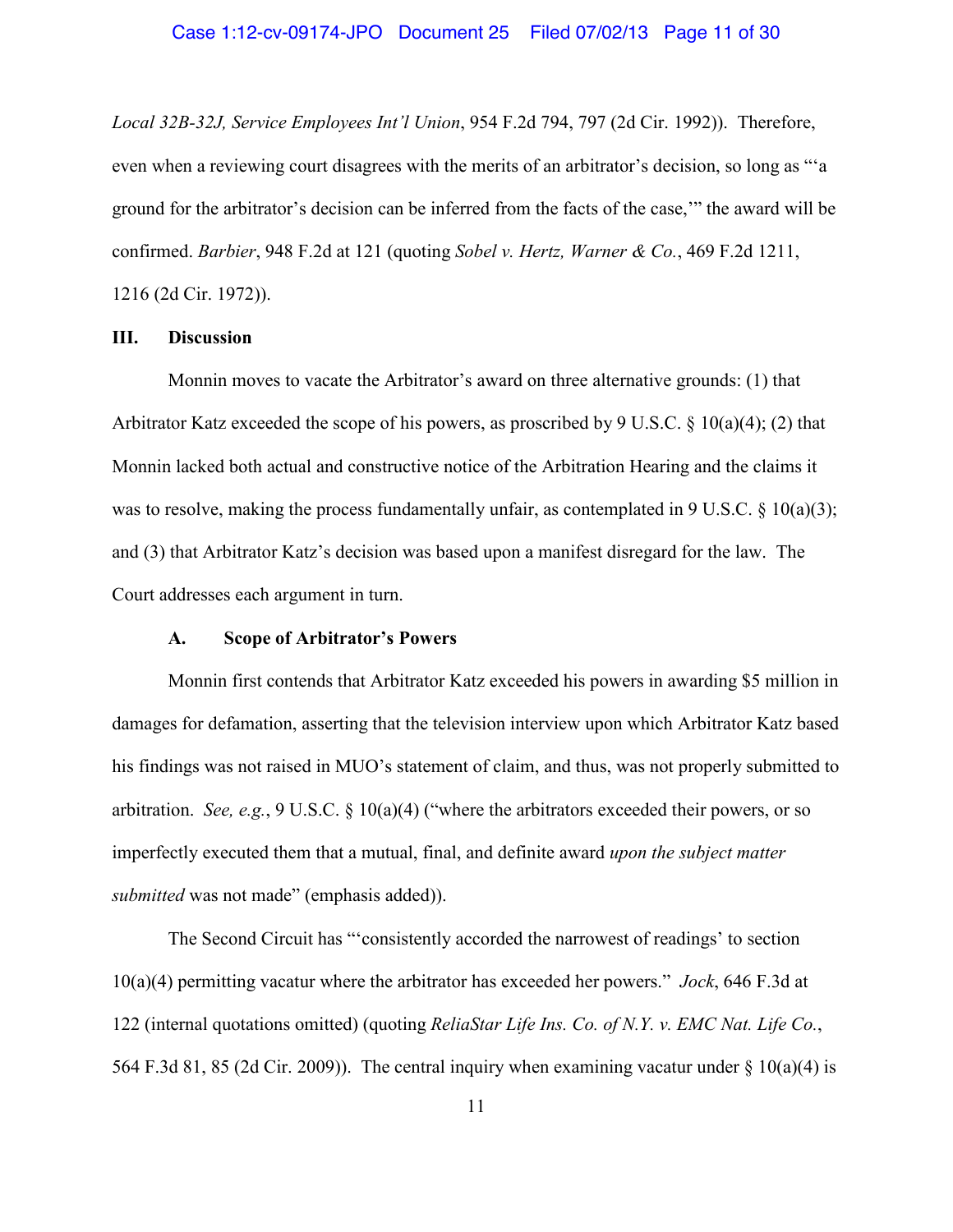*Local 32B-32J, Service Employees Int'l Union*, 954 F.2d 794, 797 (2d Cir. 1992)). Therefore, even when a reviewing court disagrees with the merits of an arbitrator's decision, so long as "'a ground for the arbitrator's decision can be inferred from the facts of the case,'" the award will be confirmed. *Barbier*, 948 F.2d at 121 (quoting *Sobel v. Hertz, Warner & Co.*, 469 F.2d 1211, 1216 (2d Cir. 1972)).

# **III. Discussion**

Monnin moves to vacate the Arbitrator's award on three alternative grounds: (1) that Arbitrator Katz exceeded the scope of his powers, as proscribed by 9 U.S.C.  $\S$  10(a)(4); (2) that Monnin lacked both actual and constructive notice of the Arbitration Hearing and the claims it was to resolve, making the process fundamentally unfair, as contemplated in 9 U.S.C. § 10(a)(3); and (3) that Arbitrator Katz's decision was based upon a manifest disregard for the law. The Court addresses each argument in turn.

# **A. Scope of Arbitrator's Powers**

Monnin first contends that Arbitrator Katz exceeded his powers in awarding \$5 million in damages for defamation, asserting that the television interview upon which Arbitrator Katz based his findings was not raised in MUO's statement of claim, and thus, was not properly submitted to arbitration. *See, e.g.*, 9 U.S.C. § 10(a)(4) ("where the arbitrators exceeded their powers, or so imperfectly executed them that a mutual, final, and definite award *upon the subject matter submitted* was not made" (emphasis added)).

The Second Circuit has "'consistently accorded the narrowest of readings' to section 10(a)(4) permitting vacatur where the arbitrator has exceeded her powers." *Jock*, 646 F.3d at 122 (internal quotations omitted) (quoting *ReliaStar Life Ins. Co. of N.Y. v. EMC Nat. Life Co.*, 564 F.3d 81, 85 (2d Cir. 2009)). The central inquiry when examining vacatur under  $\S$  10(a)(4) is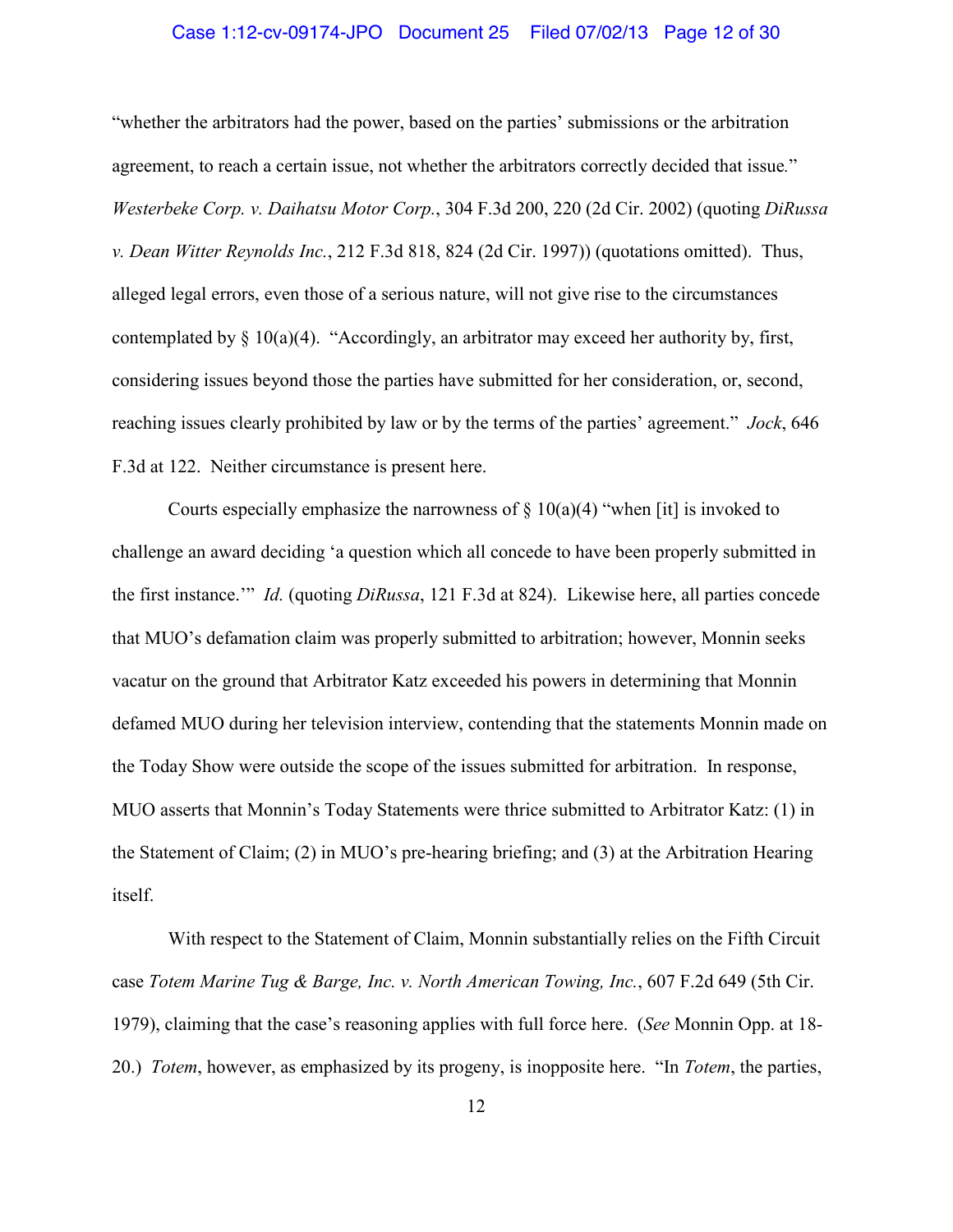### Case 1:12-cv-09174-JPO Document 25 Filed 07/02/13 Page 12 of 30

"whether the arbitrators had the power, based on the parties' submissions or the arbitration agreement, to reach a certain issue, not whether the arbitrators correctly decided that issue*.*" *Westerbeke Corp. v. Daihatsu Motor Corp.*, 304 F.3d 200, 220 (2d Cir. 2002) (quoting *DiRussa v. Dean Witter Reynolds Inc.*, 212 F.3d 818, 824 (2d Cir. 1997)) (quotations omitted). Thus, alleged legal errors, even those of a serious nature, will not give rise to the circumstances contemplated by § 10(a)(4). "Accordingly, an arbitrator may exceed her authority by, first, considering issues beyond those the parties have submitted for her consideration, or, second, reaching issues clearly prohibited by law or by the terms of the parties' agreement." *Jock*, 646 F.3d at 122. Neither circumstance is present here.

Courts especially emphasize the narrowness of  $\S$  10(a)(4) "when [it] is invoked to challenge an award deciding 'a question which all concede to have been properly submitted in the first instance.'" *Id.* (quoting *DiRussa*, 121 F.3d at 824). Likewise here, all parties concede that MUO's defamation claim was properly submitted to arbitration; however, Monnin seeks vacatur on the ground that Arbitrator Katz exceeded his powers in determining that Monnin defamed MUO during her television interview, contending that the statements Monnin made on the Today Show were outside the scope of the issues submitted for arbitration. In response, MUO asserts that Monnin's Today Statements were thrice submitted to Arbitrator Katz: (1) in the Statement of Claim; (2) in MUO's pre-hearing briefing; and (3) at the Arbitration Hearing itself.

With respect to the Statement of Claim, Monnin substantially relies on the Fifth Circuit case *Totem Marine Tug & Barge, Inc. v. North American Towing, Inc.*, 607 F.2d 649 (5th Cir. 1979), claiming that the case's reasoning applies with full force here. (*See* Monnin Opp. at 18- 20.) *Totem*, however, as emphasized by its progeny, is inopposite here. "In *Totem*, the parties,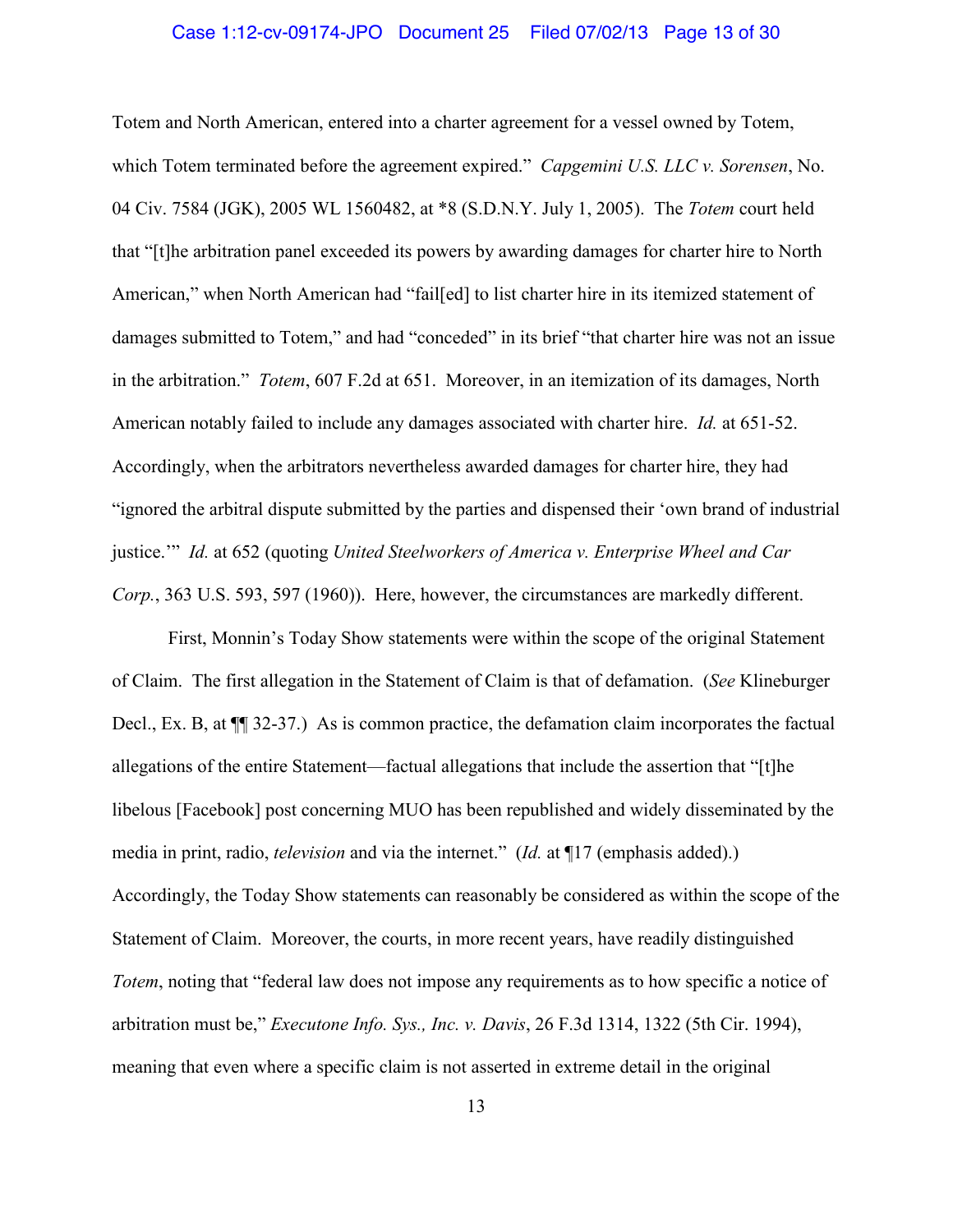### Case 1:12-cv-09174-JPO Document 25 Filed 07/02/13 Page 13 of 30

Totem and North American, entered into a charter agreement for a vessel owned by Totem, which Totem terminated before the agreement expired." *Capgemini U.S. LLC v. Sorensen*, No. 04 Civ. 7584 (JGK), 2005 WL 1560482, at \*8 (S.D.N.Y. July 1, 2005). The *Totem* court held that "[t]he arbitration panel exceeded its powers by awarding damages for charter hire to North American," when North American had "fail[ed] to list charter hire in its itemized statement of damages submitted to Totem," and had "conceded" in its brief "that charter hire was not an issue in the arbitration." *Totem*, 607 F.2d at 651. Moreover, in an itemization of its damages, North American notably failed to include any damages associated with charter hire. *Id.* at 651-52. Accordingly, when the arbitrators nevertheless awarded damages for charter hire, they had "ignored the arbitral dispute submitted by the parties and dispensed their 'own brand of industrial justice.'" *Id.* at 652 (quoting *United Steelworkers of America v. Enterprise Wheel and Car Corp.*, 363 U.S. 593, 597 (1960)). Here, however, the circumstances are markedly different.

First, Monnin's Today Show statements were within the scope of the original Statement of Claim. The first allegation in the Statement of Claim is that of defamation. (*See* Klineburger Decl., Ex. B, at  $\P$  32-37.) As is common practice, the defamation claim incorporates the factual allegations of the entire Statement—factual allegations that include the assertion that "[t]he libelous [Facebook] post concerning MUO has been republished and widely disseminated by the media in print, radio, *television* and via the internet." (*Id.* at ¶17 (emphasis added).) Accordingly, the Today Show statements can reasonably be considered as within the scope of the Statement of Claim. Moreover, the courts, in more recent years, have readily distinguished *Totem*, noting that "federal law does not impose any requirements as to how specific a notice of arbitration must be," *Executone Info. Sys., Inc. v. Davis*, 26 F.3d 1314, 1322 (5th Cir. 1994), meaning that even where a specific claim is not asserted in extreme detail in the original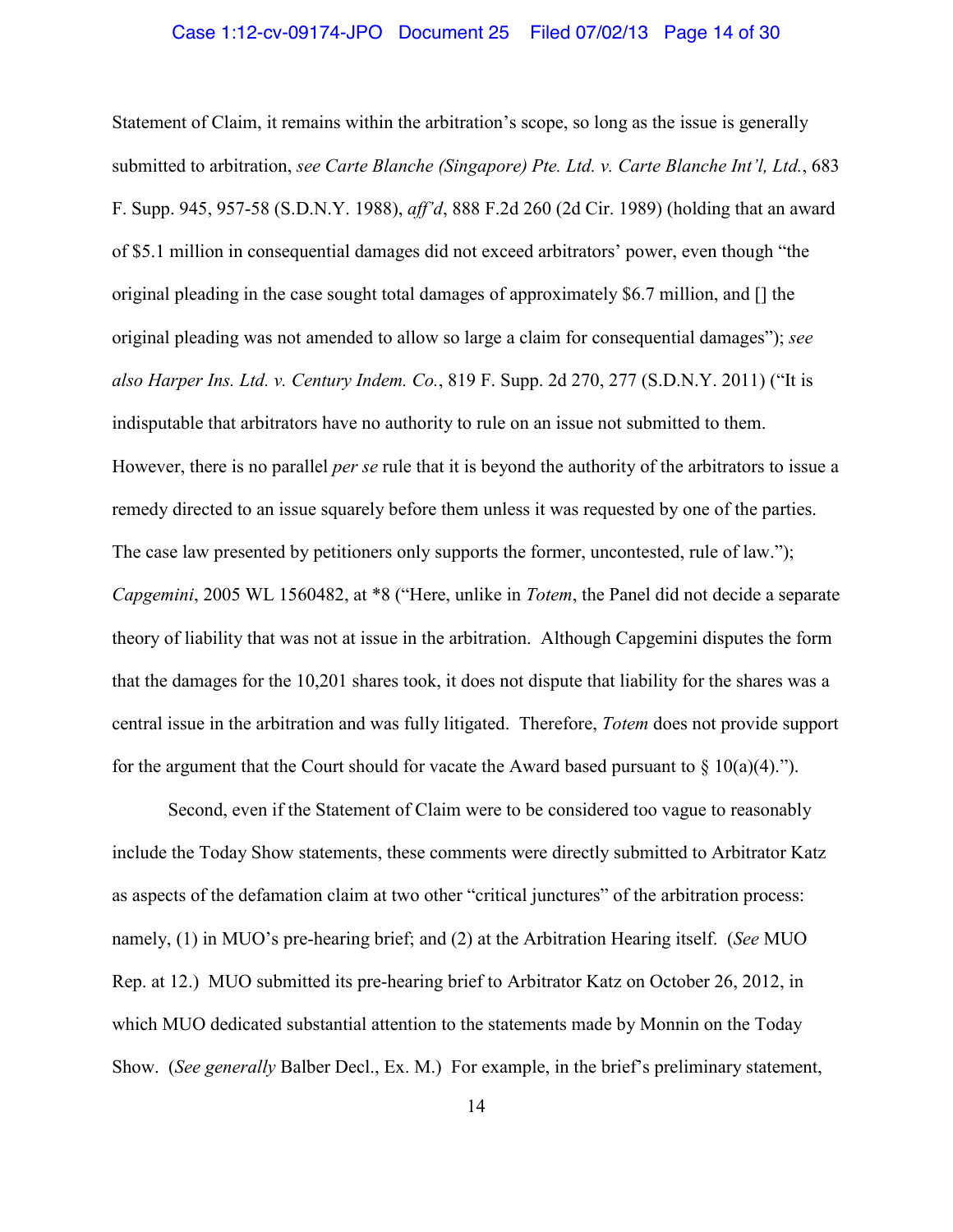#### Case 1:12-cv-09174-JPO Document 25 Filed 07/02/13 Page 14 of 30

Statement of Claim, it remains within the arbitration's scope, so long as the issue is generally submitted to arbitration, *see Carte Blanche (Singapore) Pte. Ltd. v. Carte Blanche Int'l, Ltd.*, 683 F. Supp. 945, 957-58 (S.D.N.Y. 1988), *aff'd*, 888 F.2d 260 (2d Cir. 1989) (holding that an award of \$5.1 million in consequential damages did not exceed arbitrators' power, even though "the original pleading in the case sought total damages of approximately \$6.7 million, and [] the original pleading was not amended to allow so large a claim for consequential damages"); *see also Harper Ins. Ltd. v. Century Indem. Co.*, 819 F. Supp. 2d 270, 277 (S.D.N.Y. 2011) ("It is indisputable that arbitrators have no authority to rule on an issue not submitted to them. However, there is no parallel *per se* rule that it is beyond the authority of the arbitrators to issue a remedy directed to an issue squarely before them unless it was requested by one of the parties. The case law presented by petitioners only supports the former, uncontested, rule of law."); *Capgemini*, 2005 WL 1560482, at \*8 ("Here, unlike in *Totem*, the Panel did not decide a separate theory of liability that was not at issue in the arbitration. Although Capgemini disputes the form that the damages for the 10,201 shares took, it does not dispute that liability for the shares was a central issue in the arbitration and was fully litigated. Therefore, *Totem* does not provide support for the argument that the Court should for vacate the Award based pursuant to  $\S$  10(a)(4).").

Second, even if the Statement of Claim were to be considered too vague to reasonably include the Today Show statements, these comments were directly submitted to Arbitrator Katz as aspects of the defamation claim at two other "critical junctures" of the arbitration process: namely, (1) in MUO's pre-hearing brief; and (2) at the Arbitration Hearing itself. (*See* MUO Rep. at 12.) MUO submitted its pre-hearing brief to Arbitrator Katz on October 26, 2012, in which MUO dedicated substantial attention to the statements made by Monnin on the Today Show. (*See generally* Balber Decl., Ex. M.) For example, in the brief's preliminary statement,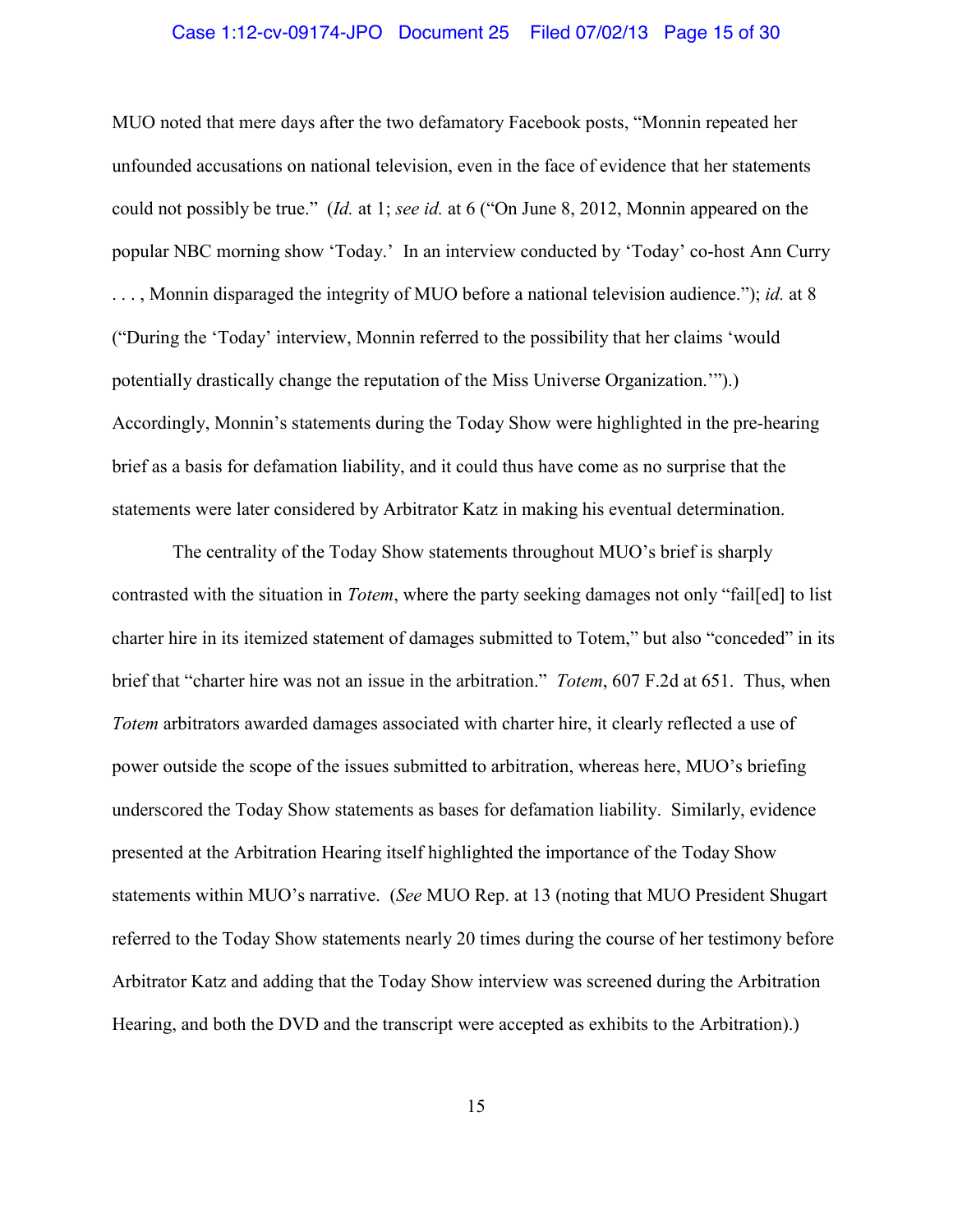### Case 1:12-cv-09174-JPO Document 25 Filed 07/02/13 Page 15 of 30

MUO noted that mere days after the two defamatory Facebook posts, "Monnin repeated her unfounded accusations on national television, even in the face of evidence that her statements could not possibly be true." (*Id.* at 1; *see id.* at 6 ("On June 8, 2012, Monnin appeared on the popular NBC morning show 'Today.' In an interview conducted by 'Today' co-host Ann Curry . . . , Monnin disparaged the integrity of MUO before a national television audience."); *id.* at 8 ("During the 'Today' interview, Monnin referred to the possibility that her claims 'would potentially drastically change the reputation of the Miss Universe Organization.'").) Accordingly, Monnin's statements during the Today Show were highlighted in the pre-hearing brief as a basis for defamation liability, and it could thus have come as no surprise that the statements were later considered by Arbitrator Katz in making his eventual determination.

The centrality of the Today Show statements throughout MUO's brief is sharply contrasted with the situation in *Totem*, where the party seeking damages not only "fail[ed] to list charter hire in its itemized statement of damages submitted to Totem," but also "conceded" in its brief that "charter hire was not an issue in the arbitration." *Totem*, 607 F.2d at 651. Thus, when *Totem* arbitrators awarded damages associated with charter hire, it clearly reflected a use of power outside the scope of the issues submitted to arbitration, whereas here, MUO's briefing underscored the Today Show statements as bases for defamation liability. Similarly, evidence presented at the Arbitration Hearing itself highlighted the importance of the Today Show statements within MUO's narrative. (*See* MUO Rep. at 13 (noting that MUO President Shugart referred to the Today Show statements nearly 20 times during the course of her testimony before Arbitrator Katz and adding that the Today Show interview was screened during the Arbitration Hearing, and both the DVD and the transcript were accepted as exhibits to the Arbitration).)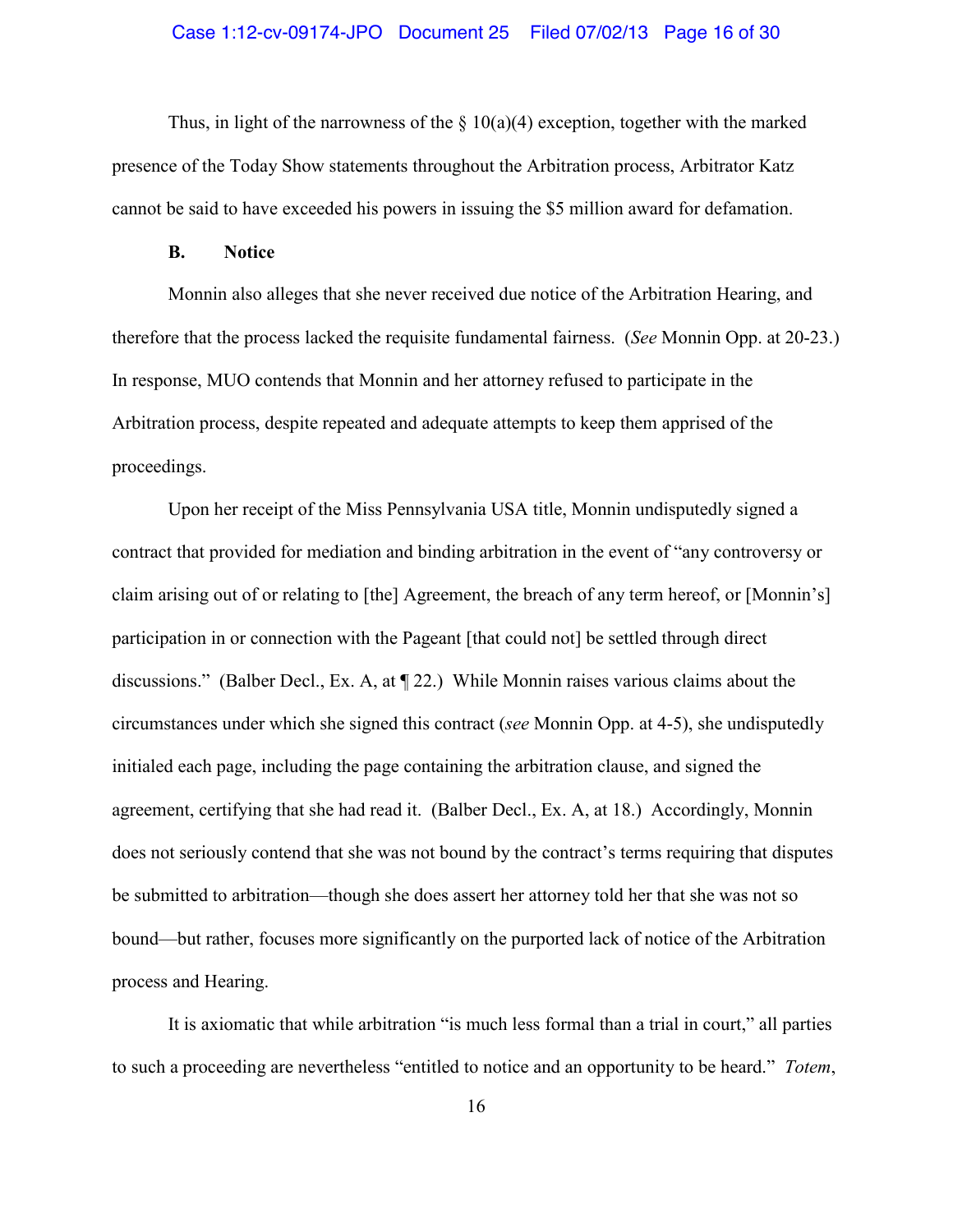### Case 1:12-cv-09174-JPO Document 25 Filed 07/02/13 Page 16 of 30

Thus, in light of the narrowness of the  $\S$  10(a)(4) exception, together with the marked presence of the Today Show statements throughout the Arbitration process, Arbitrator Katz cannot be said to have exceeded his powers in issuing the \$5 million award for defamation.

#### **B. Notice**

Monnin also alleges that she never received due notice of the Arbitration Hearing, and therefore that the process lacked the requisite fundamental fairness. (*See* Monnin Opp. at 20-23.) In response, MUO contends that Monnin and her attorney refused to participate in the Arbitration process, despite repeated and adequate attempts to keep them apprised of the proceedings.

Upon her receipt of the Miss Pennsylvania USA title, Monnin undisputedly signed a contract that provided for mediation and binding arbitration in the event of "any controversy or claim arising out of or relating to [the] Agreement, the breach of any term hereof, or [Monnin's] participation in or connection with the Pageant [that could not] be settled through direct discussions." (Balber Decl., Ex. A, at ¶ 22.) While Monnin raises various claims about the circumstances under which she signed this contract (*see* Monnin Opp. at 4-5), she undisputedly initialed each page, including the page containing the arbitration clause, and signed the agreement, certifying that she had read it. (Balber Decl., Ex. A, at 18.) Accordingly, Monnin does not seriously contend that she was not bound by the contract's terms requiring that disputes be submitted to arbitration—though she does assert her attorney told her that she was not so bound—but rather, focuses more significantly on the purported lack of notice of the Arbitration process and Hearing.

It is axiomatic that while arbitration "is much less formal than a trial in court," all parties to such a proceeding are nevertheless "entitled to notice and an opportunity to be heard." *Totem*,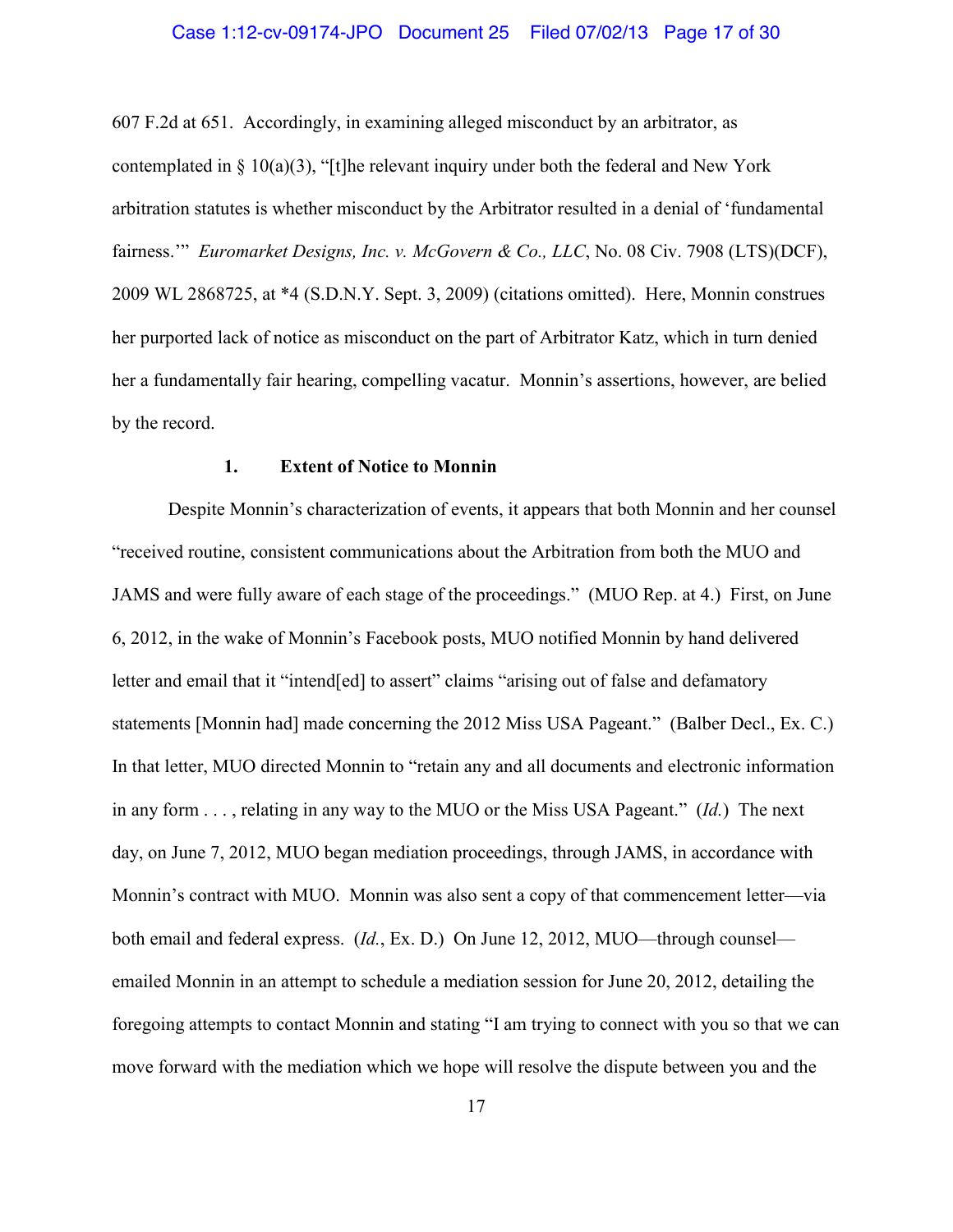#### Case 1:12-cv-09174-JPO Document 25 Filed 07/02/13 Page 17 of 30

607 F.2d at 651. Accordingly, in examining alleged misconduct by an arbitrator, as contemplated in  $\S$  10(a)(3), "[t]he relevant inquiry under both the federal and New York arbitration statutes is whether misconduct by the Arbitrator resulted in a denial of 'fundamental fairness." *Euromarket Designs, Inc. v. McGovern & Co., LLC*, No. 08 Civ. 7908 (LTS)(DCF), 2009 WL 2868725, at \*4 (S.D.N.Y. Sept. 3, 2009) (citations omitted). Here, Monnin construes her purported lack of notice as misconduct on the part of Arbitrator Katz, which in turn denied her a fundamentally fair hearing, compelling vacatur. Monnin's assertions, however, are belied by the record.

### **1. Extent of Notice to Monnin**

Despite Monnin's characterization of events, it appears that both Monnin and her counsel "received routine, consistent communications about the Arbitration from both the MUO and JAMS and were fully aware of each stage of the proceedings." (MUO Rep. at 4.) First, on June 6, 2012, in the wake of Monnin's Facebook posts, MUO notified Monnin by hand delivered letter and email that it "intend[ed] to assert" claims "arising out of false and defamatory statements [Monnin had] made concerning the 2012 Miss USA Pageant." (Balber Decl., Ex. C.) In that letter, MUO directed Monnin to "retain any and all documents and electronic information in any form . . . , relating in any way to the MUO or the Miss USA Pageant." (*Id.*) The next day, on June 7, 2012, MUO began mediation proceedings, through JAMS, in accordance with Monnin's contract with MUO. Monnin was also sent a copy of that commencement letter—via both email and federal express. (*Id.*, Ex. D.) On June 12, 2012, MUO—through counsel emailed Monnin in an attempt to schedule a mediation session for June 20, 2012, detailing the foregoing attempts to contact Monnin and stating "I am trying to connect with you so that we can move forward with the mediation which we hope will resolve the dispute between you and the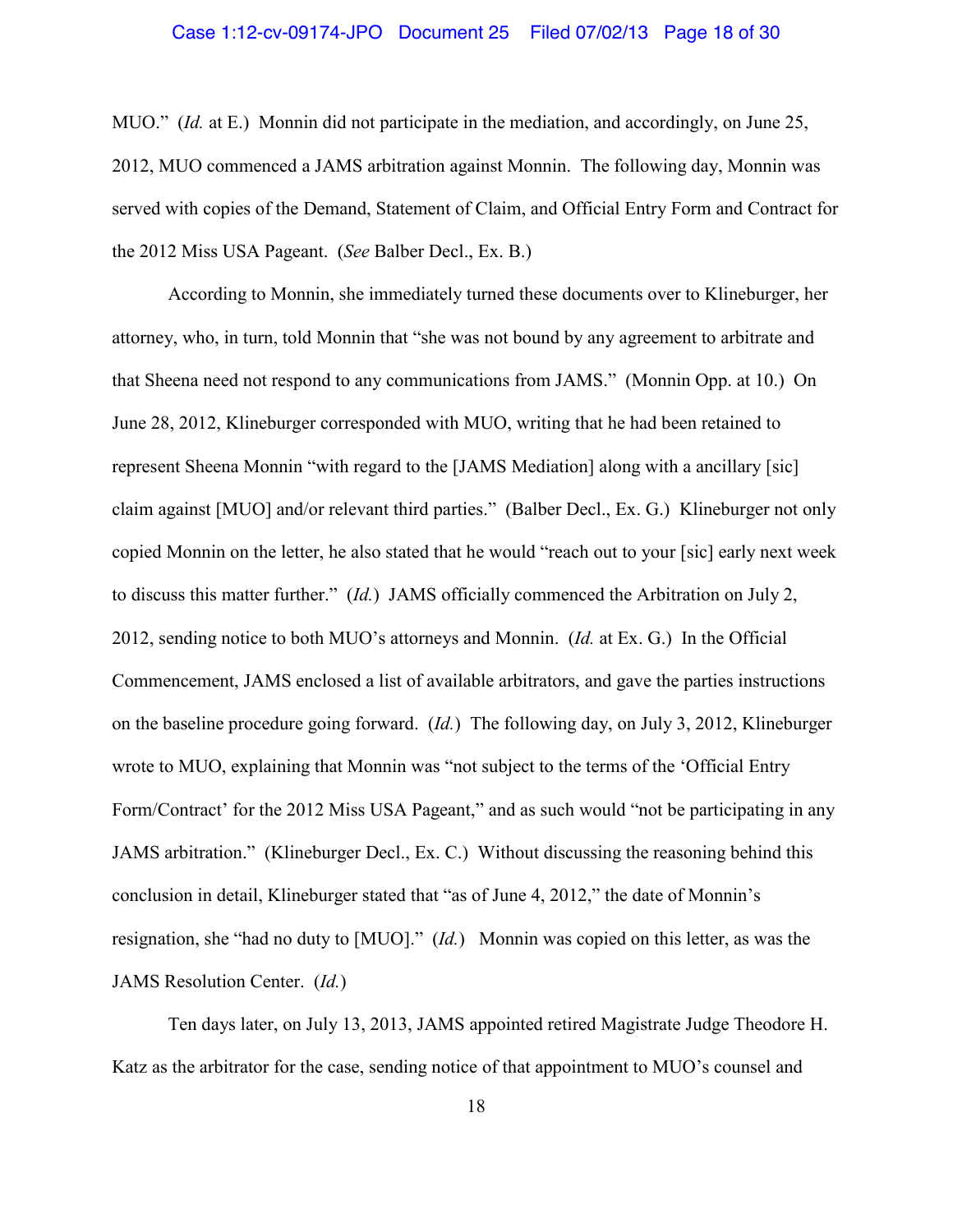### Case 1:12-cv-09174-JPO Document 25 Filed 07/02/13 Page 18 of 30

MUO." (*Id.* at E.) Monnin did not participate in the mediation, and accordingly, on June 25, 2012, MUO commenced a JAMS arbitration against Monnin. The following day, Monnin was served with copies of the Demand, Statement of Claim, and Official Entry Form and Contract for the 2012 Miss USA Pageant. (*See* Balber Decl., Ex. B.)

According to Monnin, she immediately turned these documents over to Klineburger, her attorney, who, in turn, told Monnin that "she was not bound by any agreement to arbitrate and that Sheena need not respond to any communications from JAMS." (Monnin Opp. at 10.) On June 28, 2012, Klineburger corresponded with MUO, writing that he had been retained to represent Sheena Monnin "with regard to the [JAMS Mediation] along with a ancillary [sic] claim against [MUO] and/or relevant third parties." (Balber Decl., Ex. G.) Klineburger not only copied Monnin on the letter, he also stated that he would "reach out to your [sic] early next week to discuss this matter further." (*Id.*) JAMS officially commenced the Arbitration on July 2, 2012, sending notice to both MUO's attorneys and Monnin. (*Id.* at Ex. G.) In the Official Commencement, JAMS enclosed a list of available arbitrators, and gave the parties instructions on the baseline procedure going forward. (*Id.*) The following day, on July 3, 2012, Klineburger wrote to MUO, explaining that Monnin was "not subject to the terms of the 'Official Entry Form/Contract' for the 2012 Miss USA Pageant," and as such would "not be participating in any JAMS arbitration." (Klineburger Decl., Ex. C.) Without discussing the reasoning behind this conclusion in detail, Klineburger stated that "as of June 4, 2012," the date of Monnin's resignation, she "had no duty to [MUO]." (*Id.*) Monnin was copied on this letter, as was the JAMS Resolution Center. (*Id.*)

Ten days later, on July 13, 2013, JAMS appointed retired Magistrate Judge Theodore H. Katz as the arbitrator for the case, sending notice of that appointment to MUO's counsel and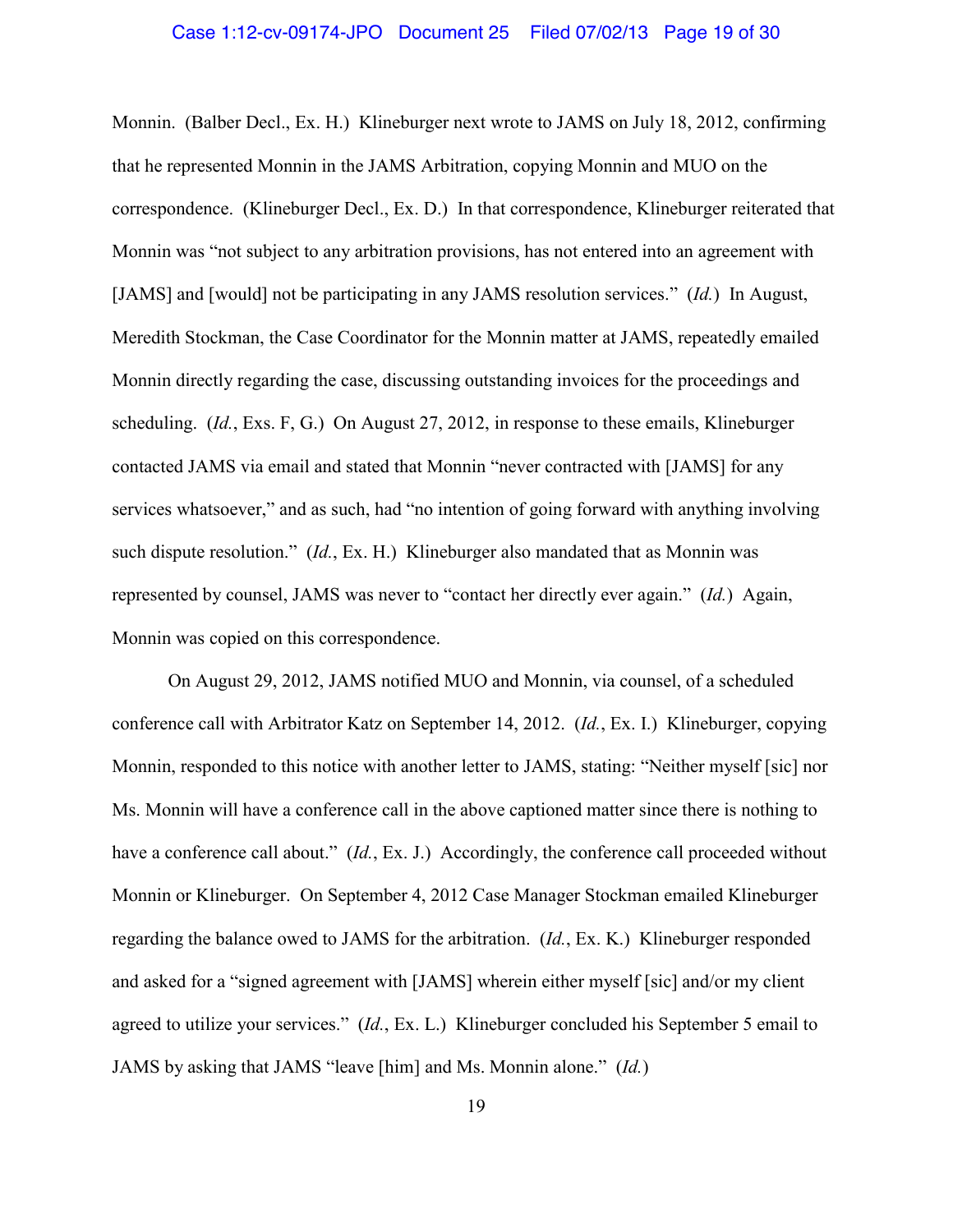### Case 1:12-cv-09174-JPO Document 25 Filed 07/02/13 Page 19 of 30

Monnin. (Balber Decl., Ex. H.) Klineburger next wrote to JAMS on July 18, 2012, confirming that he represented Monnin in the JAMS Arbitration, copying Monnin and MUO on the correspondence. (Klineburger Decl., Ex. D.) In that correspondence, Klineburger reiterated that Monnin was "not subject to any arbitration provisions, has not entered into an agreement with [JAMS] and [would] not be participating in any JAMS resolution services." (*Id.*) In August, Meredith Stockman, the Case Coordinator for the Monnin matter at JAMS, repeatedly emailed Monnin directly regarding the case, discussing outstanding invoices for the proceedings and scheduling. (*Id.*, Exs. F, G.) On August 27, 2012, in response to these emails, Klineburger contacted JAMS via email and stated that Monnin "never contracted with [JAMS] for any services whatsoever," and as such, had "no intention of going forward with anything involving such dispute resolution." (*Id.*, Ex. H.) Klineburger also mandated that as Monnin was represented by counsel, JAMS was never to "contact her directly ever again." (*Id.*) Again, Monnin was copied on this correspondence.

On August 29, 2012, JAMS notified MUO and Monnin, via counsel, of a scheduled conference call with Arbitrator Katz on September 14, 2012. (*Id.*, Ex. I.) Klineburger, copying Monnin, responded to this notice with another letter to JAMS, stating: "Neither myself [sic] nor Ms. Monnin will have a conference call in the above captioned matter since there is nothing to have a conference call about." (*Id.*, Ex. J.) Accordingly, the conference call proceeded without Monnin or Klineburger. On September 4, 2012 Case Manager Stockman emailed Klineburger regarding the balance owed to JAMS for the arbitration. (*Id.*, Ex. K.) Klineburger responded and asked for a "signed agreement with [JAMS] wherein either myself [sic] and/or my client agreed to utilize your services." (*Id.*, Ex. L.) Klineburger concluded his September 5 email to JAMS by asking that JAMS "leave [him] and Ms. Monnin alone." (*Id.*)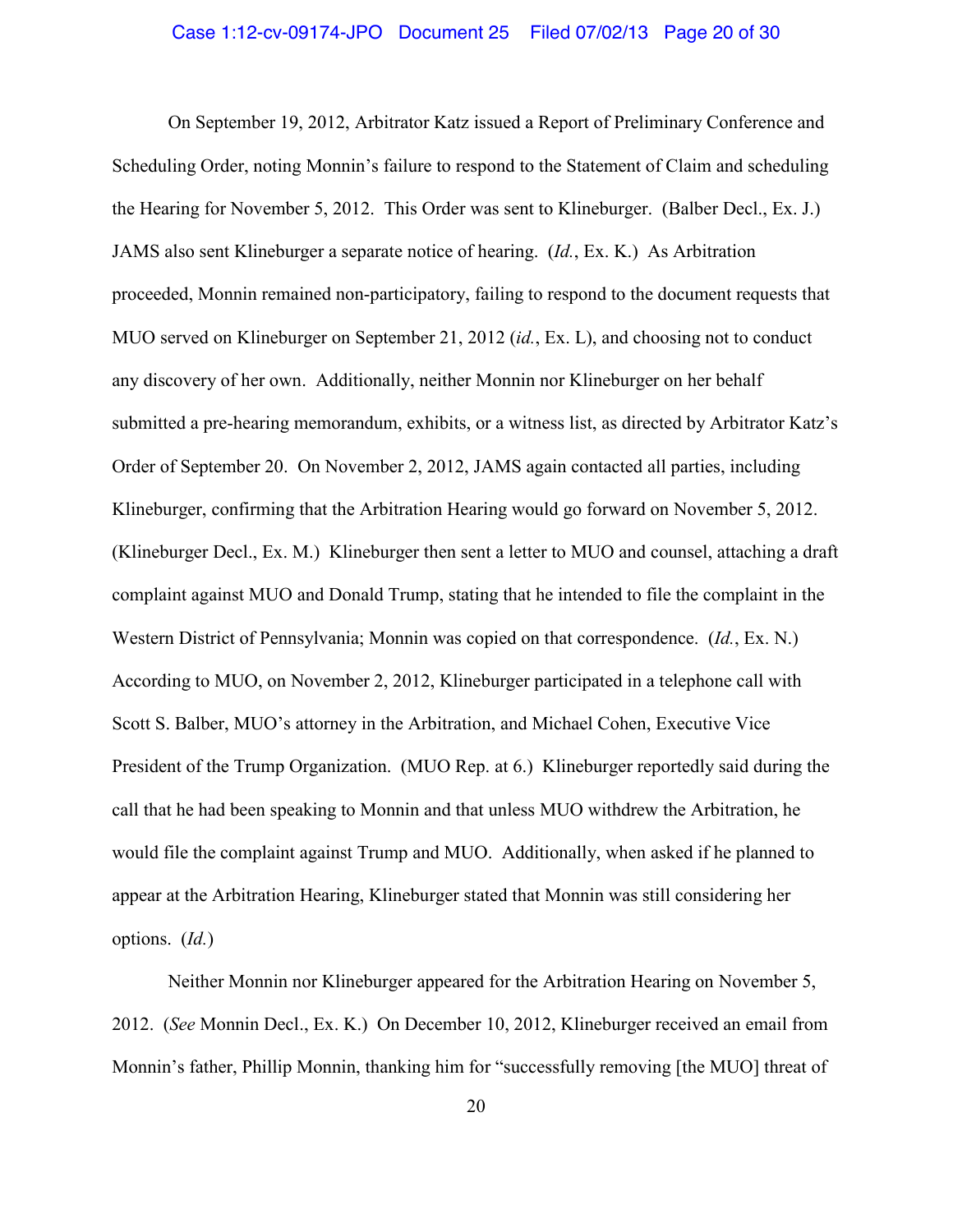On September 19, 2012, Arbitrator Katz issued a Report of Preliminary Conference and Scheduling Order, noting Monnin's failure to respond to the Statement of Claim and scheduling the Hearing for November 5, 2012. This Order was sent to Klineburger. (Balber Decl., Ex. J.) JAMS also sent Klineburger a separate notice of hearing. (*Id.*, Ex. K.) As Arbitration proceeded, Monnin remained non-participatory, failing to respond to the document requests that MUO served on Klineburger on September 21, 2012 (*id.*, Ex. L), and choosing not to conduct any discovery of her own. Additionally, neither Monnin nor Klineburger on her behalf submitted a pre-hearing memorandum, exhibits, or a witness list, as directed by Arbitrator Katz's Order of September 20. On November 2, 2012, JAMS again contacted all parties, including Klineburger, confirming that the Arbitration Hearing would go forward on November 5, 2012. (Klineburger Decl., Ex. M.) Klineburger then sent a letter to MUO and counsel, attaching a draft complaint against MUO and Donald Trump, stating that he intended to file the complaint in the Western District of Pennsylvania; Monnin was copied on that correspondence. (*Id.*, Ex. N.) According to MUO, on November 2, 2012, Klineburger participated in a telephone call with Scott S. Balber, MUO's attorney in the Arbitration, and Michael Cohen, Executive Vice President of the Trump Organization. (MUO Rep. at 6.) Klineburger reportedly said during the call that he had been speaking to Monnin and that unless MUO withdrew the Arbitration, he would file the complaint against Trump and MUO. Additionally, when asked if he planned to appear at the Arbitration Hearing, Klineburger stated that Monnin was still considering her options. (*Id.*)

Neither Monnin nor Klineburger appeared for the Arbitration Hearing on November 5, 2012. (*See* Monnin Decl., Ex. K.) On December 10, 2012, Klineburger received an email from Monnin's father, Phillip Monnin, thanking him for "successfully removing [the MUO] threat of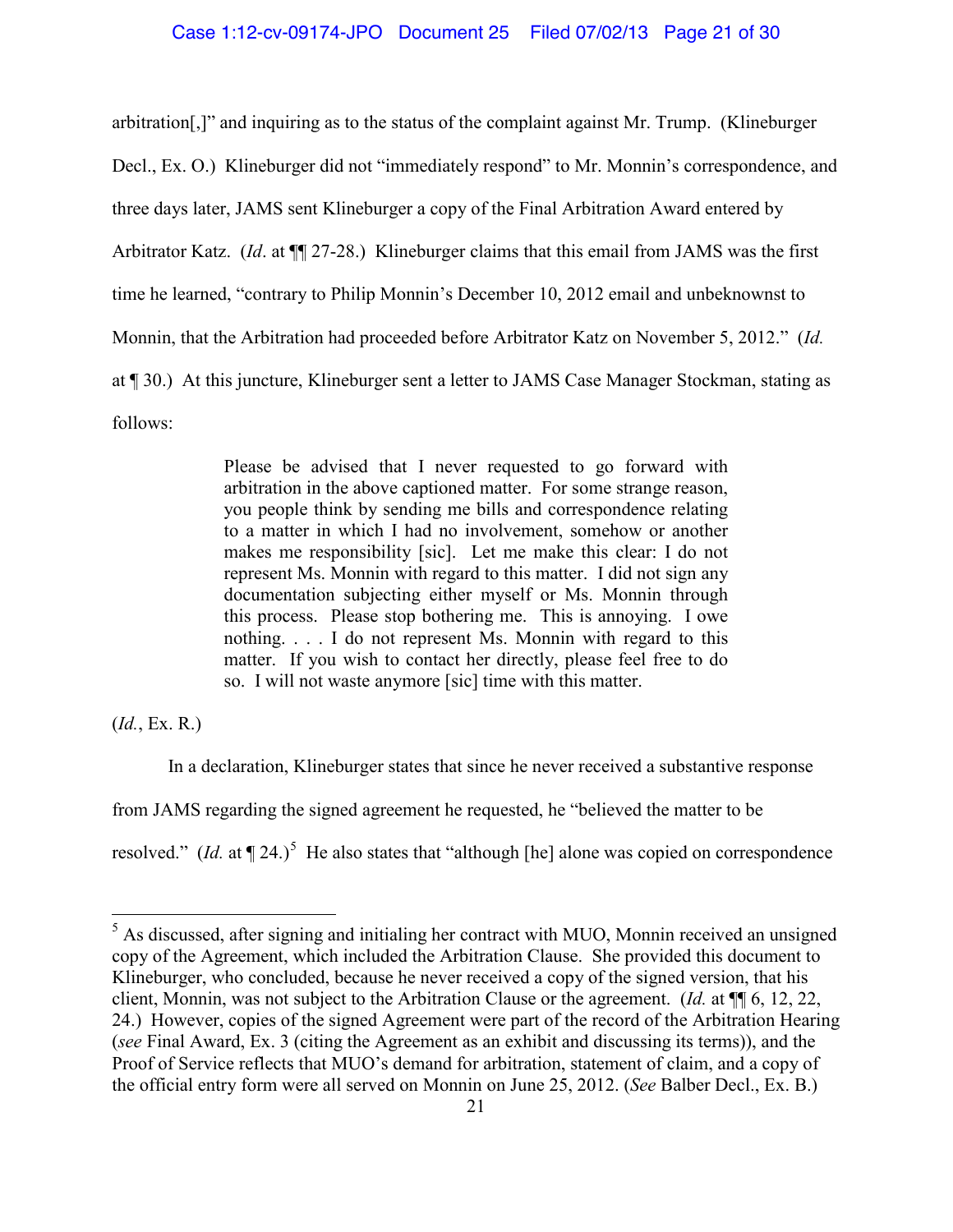arbitration[,]" and inquiring as to the status of the complaint against Mr. Trump. (Klineburger Decl., Ex. O.) Klineburger did not "immediately respond" to Mr. Monnin's correspondence, and three days later, JAMS sent Klineburger a copy of the Final Arbitration Award entered by Arbitrator Katz. (*Id*. at ¶¶ 27-28.) Klineburger claims that this email from JAMS was the first time he learned, "contrary to Philip Monnin's December 10, 2012 email and unbeknownst to Monnin, that the Arbitration had proceeded before Arbitrator Katz on November 5, 2012." (*Id.* at ¶ 30.) At this juncture, Klineburger sent a letter to JAMS Case Manager Stockman, stating as follows:

> Please be advised that I never requested to go forward with arbitration in the above captioned matter. For some strange reason, you people think by sending me bills and correspondence relating to a matter in which I had no involvement, somehow or another makes me responsibility [sic]. Let me make this clear: I do not represent Ms. Monnin with regard to this matter. I did not sign any documentation subjecting either myself or Ms. Monnin through this process. Please stop bothering me. This is annoying. I owe nothing. . . . I do not represent Ms. Monnin with regard to this matter. If you wish to contact her directly, please feel free to do so. I will not waste anymore [sic] time with this matter.

(*Id.*, Ex. R.)

In a declaration, Klineburger states that since he never received a substantive response

from JAMS regarding the signed agreement he requested, he "believed the matter to be

resolved." (*Id.* at  $\P$  24.)<sup>[5](#page-20-0)</sup> He also states that "although [he] alone was copied on correspondence

<span id="page-20-0"></span><sup>&</sup>lt;sup>5</sup> As discussed, after signing and initialing her contract with MUO, Monnin received an unsigned copy of the Agreement, which included the Arbitration Clause. She provided this document to Klineburger, who concluded, because he never received a copy of the signed version, that his client, Monnin, was not subject to the Arbitration Clause or the agreement. (*Id.* at ¶¶ 6, 12, 22, 24.) However, copies of the signed Agreement were part of the record of the Arbitration Hearing (*see* Final Award, Ex. 3 (citing the Agreement as an exhibit and discussing its terms)), and the Proof of Service reflects that MUO's demand for arbitration, statement of claim, and a copy of the official entry form were all served on Monnin on June 25, 2012. (*See* Balber Decl., Ex. B.)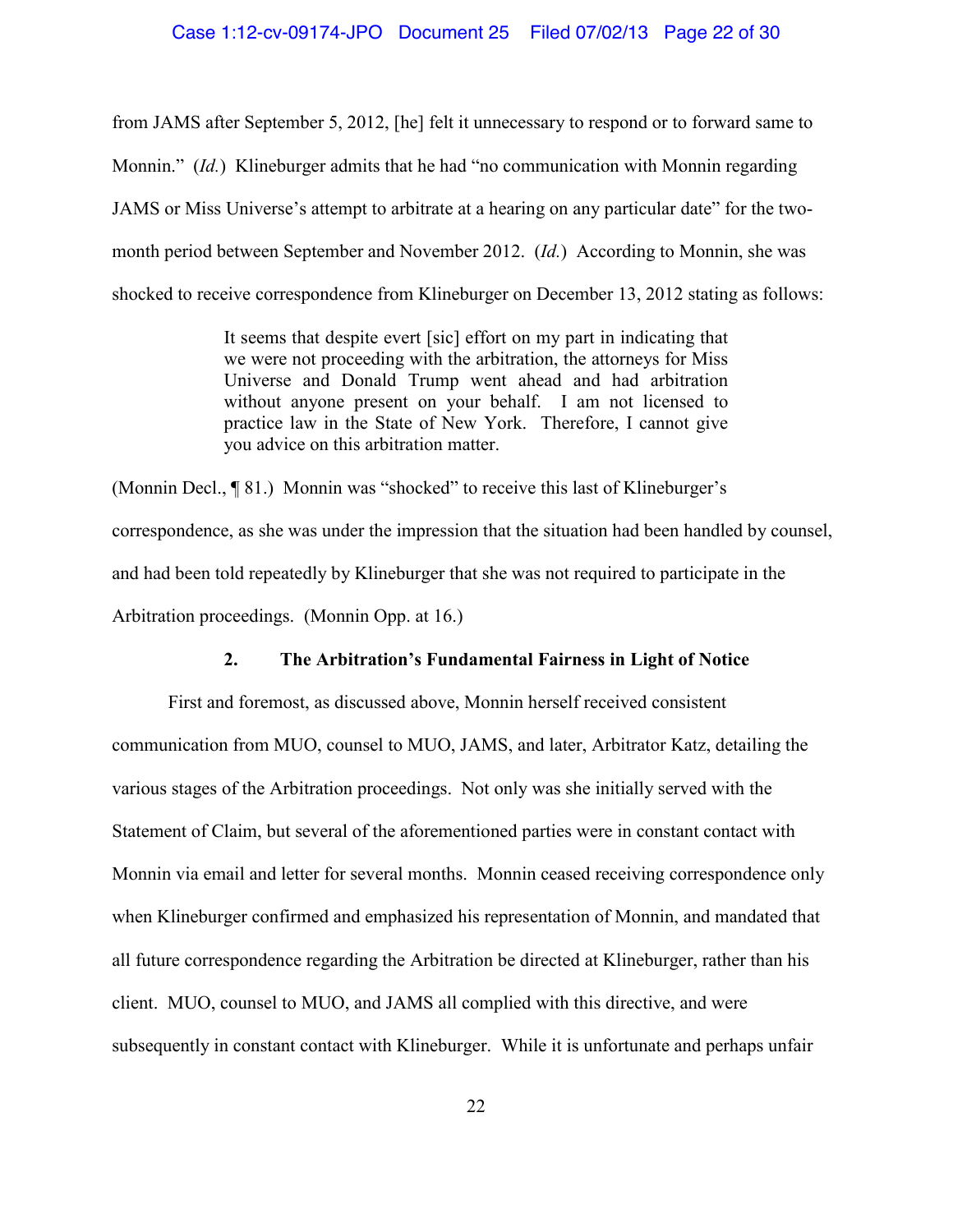### Case 1:12-cv-09174-JPO Document 25 Filed 07/02/13 Page 22 of 30

from JAMS after September 5, 2012, [he] felt it unnecessary to respond or to forward same to Monnin." *(Id.)* Klineburger admits that he had "no communication with Monnin regarding JAMS or Miss Universe's attempt to arbitrate at a hearing on any particular date" for the twomonth period between September and November 2012. (*Id.*) According to Monnin, she was shocked to receive correspondence from Klineburger on December 13, 2012 stating as follows:

> It seems that despite evert [sic] effort on my part in indicating that we were not proceeding with the arbitration, the attorneys for Miss Universe and Donald Trump went ahead and had arbitration without anyone present on your behalf. I am not licensed to practice law in the State of New York. Therefore, I cannot give you advice on this arbitration matter.

(Monnin Decl., ¶ 81.) Monnin was "shocked" to receive this last of Klineburger's correspondence, as she was under the impression that the situation had been handled by counsel, and had been told repeatedly by Klineburger that she was not required to participate in the Arbitration proceedings. (Monnin Opp. at 16.)

# **2. The Arbitration's Fundamental Fairness in Light of Notice**

First and foremost, as discussed above, Monnin herself received consistent communication from MUO, counsel to MUO, JAMS, and later, Arbitrator Katz, detailing the various stages of the Arbitration proceedings. Not only was she initially served with the Statement of Claim, but several of the aforementioned parties were in constant contact with Monnin via email and letter for several months. Monnin ceased receiving correspondence only when Klineburger confirmed and emphasized his representation of Monnin, and mandated that all future correspondence regarding the Arbitration be directed at Klineburger, rather than his client. MUO, counsel to MUO, and JAMS all complied with this directive, and were subsequently in constant contact with Klineburger. While it is unfortunate and perhaps unfair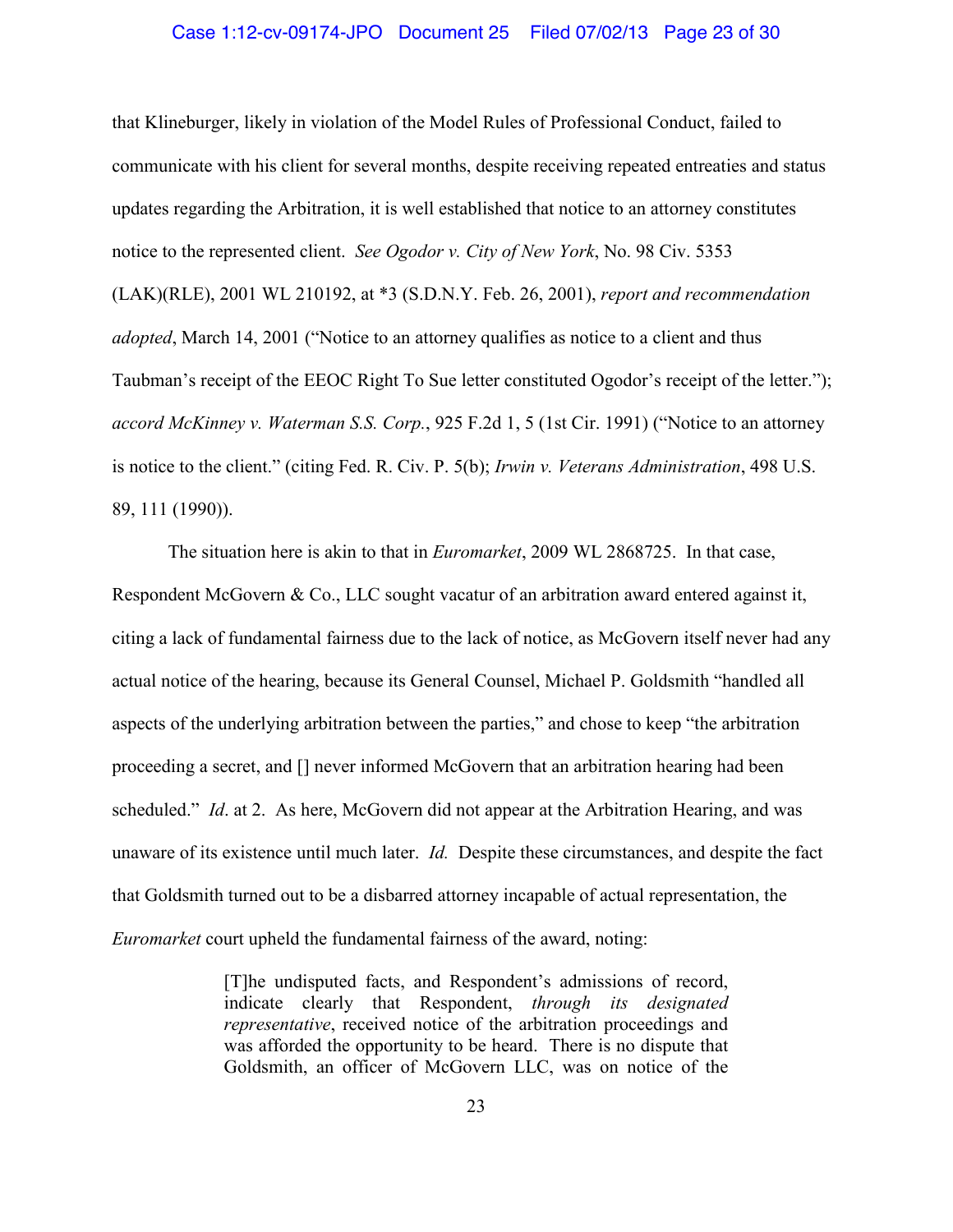#### Case 1:12-cv-09174-JPO Document 25 Filed 07/02/13 Page 23 of 30

that Klineburger, likely in violation of the Model Rules of Professional Conduct, failed to communicate with his client for several months, despite receiving repeated entreaties and status updates regarding the Arbitration, it is well established that notice to an attorney constitutes notice to the represented client. *See Ogodor v. City of New York*, No. 98 Civ. 5353 (LAK)(RLE), 2001 WL 210192, at \*3 (S.D.N.Y. Feb. 26, 2001), *report and recommendation adopted*, March 14, 2001 ("Notice to an attorney qualifies as notice to a client and thus Taubman's receipt of the EEOC Right To Sue letter constituted Ogodor's receipt of the letter."); *accord McKinney v. Waterman S.S. Corp.*, 925 F.2d 1, 5 (1st Cir. 1991) ("Notice to an attorney is notice to the client." (citing Fed. R. Civ. P. 5(b); *Irwin v. Veterans Administration*, 498 U.S. 89, 111 (1990)).

The situation here is akin to that in *Euromarket*, 2009 WL 2868725. In that case, Respondent McGovern & Co., LLC sought vacatur of an arbitration award entered against it, citing a lack of fundamental fairness due to the lack of notice, as McGovern itself never had any actual notice of the hearing, because its General Counsel, Michael P. Goldsmith "handled all aspects of the underlying arbitration between the parties," and chose to keep "the arbitration proceeding a secret, and [] never informed McGovern that an arbitration hearing had been scheduled." *Id*. at 2. As here, McGovern did not appear at the Arbitration Hearing, and was unaware of its existence until much later. *Id.* Despite these circumstances, and despite the fact that Goldsmith turned out to be a disbarred attorney incapable of actual representation, the *Euromarket* court upheld the fundamental fairness of the award, noting:

> [T]he undisputed facts, and Respondent's admissions of record, indicate clearly that Respondent, *through its designated representative*, received notice of the arbitration proceedings and was afforded the opportunity to be heard. There is no dispute that Goldsmith, an officer of McGovern LLC, was on notice of the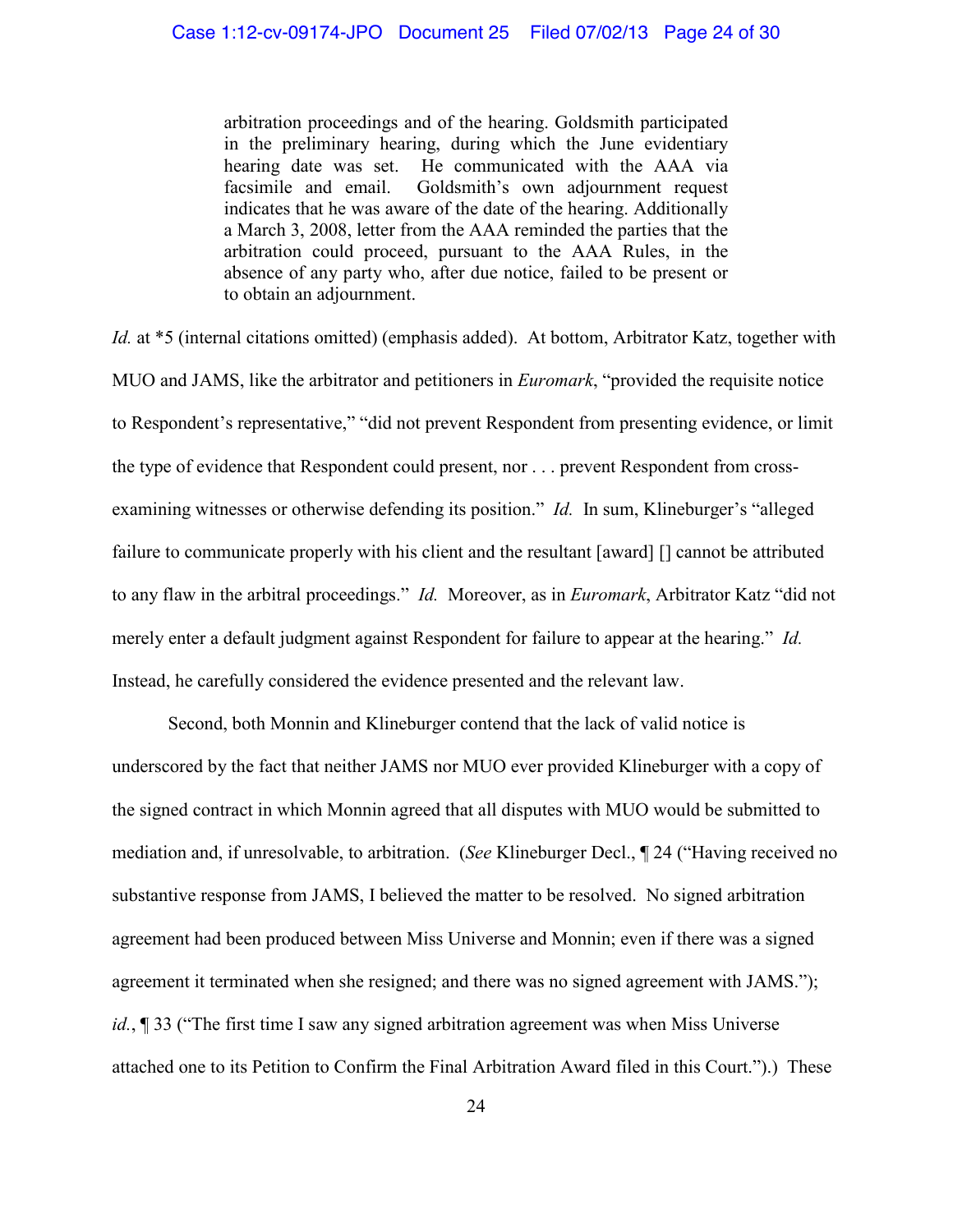arbitration proceedings and of the hearing. Goldsmith participated in the preliminary hearing, during which the June evidentiary hearing date was set. He communicated with the AAA via facsimile and email. Goldsmith's own adjournment request indicates that he was aware of the date of the hearing. Additionally a March 3, 2008, letter from the AAA reminded the parties that the arbitration could proceed, pursuant to the AAA Rules, in the absence of any party who, after due notice, failed to be present or to obtain an adjournment.

*Id.* at \*5 (internal citations omitted) (emphasis added). At bottom, Arbitrator Katz, together with MUO and JAMS, like the arbitrator and petitioners in *Euromark*, "provided the requisite notice to Respondent's representative," "did not prevent Respondent from presenting evidence, or limit the type of evidence that Respondent could present, nor . . . prevent Respondent from crossexamining witnesses or otherwise defending its position." *Id.* In sum, Klineburger's "alleged failure to communicate properly with his client and the resultant [award] [] cannot be attributed to any flaw in the arbitral proceedings." *Id.* Moreover, as in *Euromark*, Arbitrator Katz "did not merely enter a default judgment against Respondent for failure to appear at the hearing." *Id.* Instead, he carefully considered the evidence presented and the relevant law.

Second, both Monnin and Klineburger contend that the lack of valid notice is underscored by the fact that neither JAMS nor MUO ever provided Klineburger with a copy of the signed contract in which Monnin agreed that all disputes with MUO would be submitted to mediation and, if unresolvable, to arbitration. (*See* Klineburger Decl., ¶ 24 ("Having received no substantive response from JAMS, I believed the matter to be resolved. No signed arbitration agreement had been produced between Miss Universe and Monnin; even if there was a signed agreement it terminated when she resigned; and there was no signed agreement with JAMS."); *id.*, ¶ 33 ("The first time I saw any signed arbitration agreement was when Miss Universe attached one to its Petition to Confirm the Final Arbitration Award filed in this Court.").) These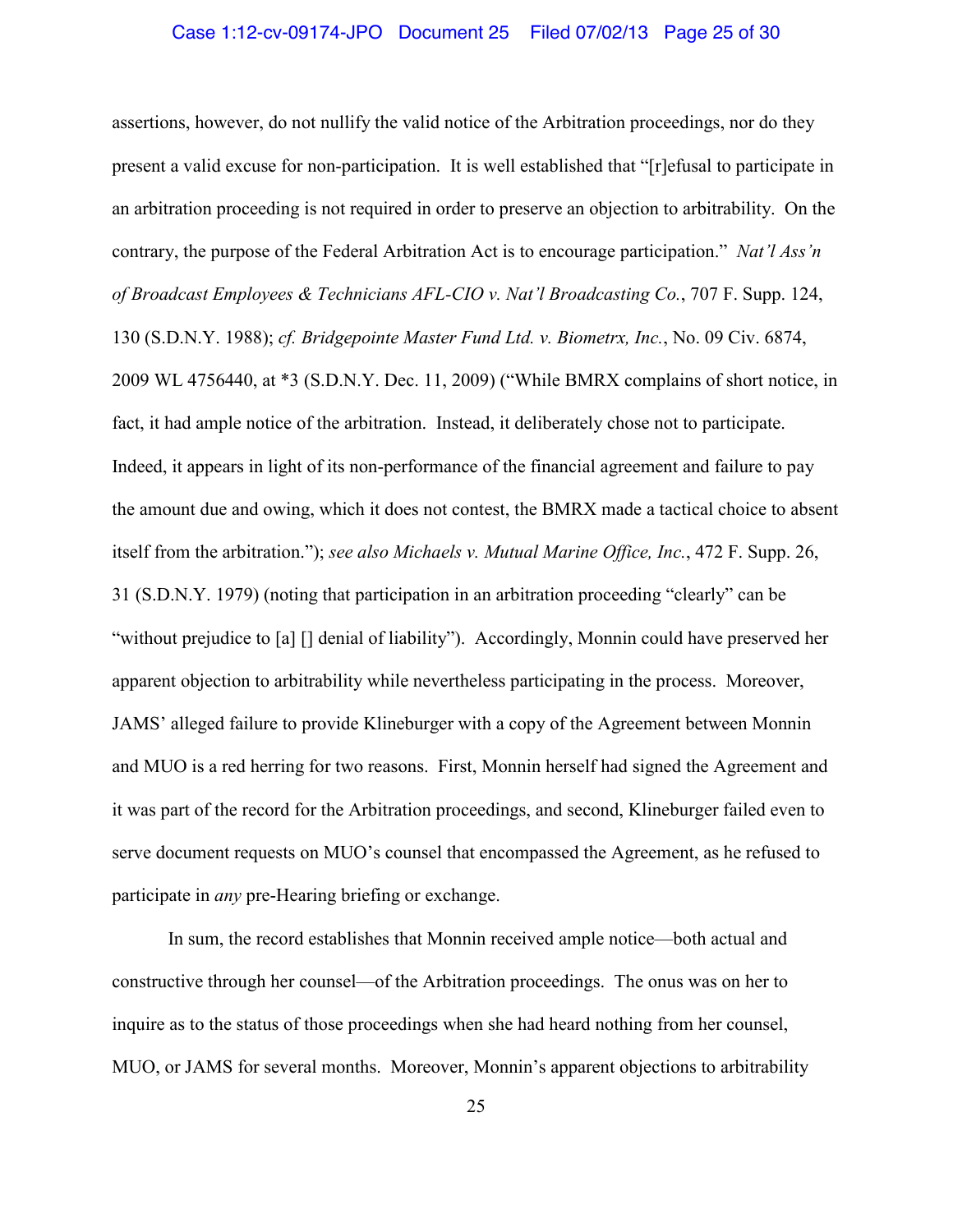#### Case 1:12-cv-09174-JPO Document 25 Filed 07/02/13 Page 25 of 30

assertions, however, do not nullify the valid notice of the Arbitration proceedings, nor do they present a valid excuse for non-participation. It is well established that "[r]efusal to participate in an arbitration proceeding is not required in order to preserve an objection to arbitrability. On the contrary, the purpose of the Federal Arbitration Act is to encourage participation." *Nat'l Ass'n of Broadcast Employees & Technicians AFL-CIO v. Nat'l Broadcasting Co.*, 707 F. Supp. 124, 130 (S.D.N.Y. 1988); *cf. Bridgepointe Master Fund Ltd. v. Biometrx, Inc.*, No. 09 Civ. 6874, 2009 WL 4756440, at \*3 (S.D.N.Y. Dec. 11, 2009) ("While BMRX complains of short notice, in fact, it had ample notice of the arbitration. Instead, it deliberately chose not to participate. Indeed, it appears in light of its non-performance of the financial agreement and failure to pay the amount due and owing, which it does not contest, the BMRX made a tactical choice to absent itself from the arbitration."); *see also Michaels v. Mutual Marine Office, Inc.*, 472 F. Supp. 26, 31 (S.D.N.Y. 1979) (noting that participation in an arbitration proceeding "clearly" can be "without prejudice to [a] [] denial of liability"). Accordingly, Monnin could have preserved her apparent objection to arbitrability while nevertheless participating in the process. Moreover, JAMS' alleged failure to provide Klineburger with a copy of the Agreement between Monnin and MUO is a red herring for two reasons. First, Monnin herself had signed the Agreement and it was part of the record for the Arbitration proceedings, and second, Klineburger failed even to serve document requests on MUO's counsel that encompassed the Agreement, as he refused to participate in *any* pre-Hearing briefing or exchange.

In sum, the record establishes that Monnin received ample notice—both actual and constructive through her counsel—of the Arbitration proceedings. The onus was on her to inquire as to the status of those proceedings when she had heard nothing from her counsel, MUO, or JAMS for several months. Moreover, Monnin's apparent objections to arbitrability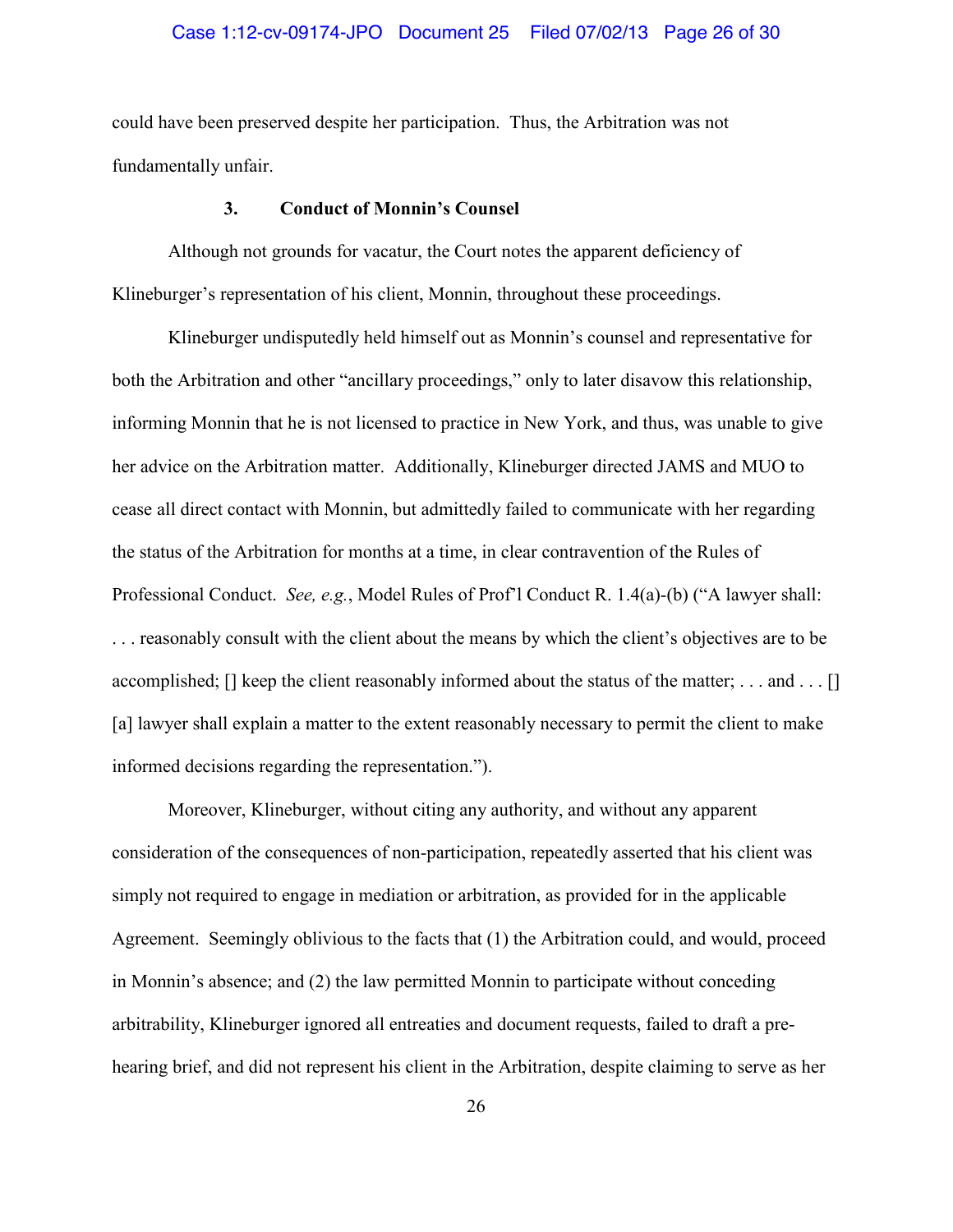### Case 1:12-cv-09174-JPO Document 25 Filed 07/02/13 Page 26 of 30

could have been preserved despite her participation. Thus, the Arbitration was not fundamentally unfair.

# **3. Conduct of Monnin's Counsel**

Although not grounds for vacatur, the Court notes the apparent deficiency of Klineburger's representation of his client, Monnin, throughout these proceedings.

Klineburger undisputedly held himself out as Monnin's counsel and representative for both the Arbitration and other "ancillary proceedings," only to later disavow this relationship, informing Monnin that he is not licensed to practice in New York, and thus, was unable to give her advice on the Arbitration matter. Additionally, Klineburger directed JAMS and MUO to cease all direct contact with Monnin, but admittedly failed to communicate with her regarding the status of the Arbitration for months at a time, in clear contravention of the Rules of Professional Conduct. *See, e.g.*, Model Rules of Prof'l Conduct R. 1.4(a)-(b) ("A lawyer shall: . . . reasonably consult with the client about the means by which the client's objectives are to be accomplished; [] keep the client reasonably informed about the status of the matter; . . . and . . . [] [a] lawyer shall explain a matter to the extent reasonably necessary to permit the client to make informed decisions regarding the representation.").

Moreover, Klineburger, without citing any authority, and without any apparent consideration of the consequences of non-participation, repeatedly asserted that his client was simply not required to engage in mediation or arbitration, as provided for in the applicable Agreement. Seemingly oblivious to the facts that (1) the Arbitration could, and would, proceed in Monnin's absence; and (2) the law permitted Monnin to participate without conceding arbitrability, Klineburger ignored all entreaties and document requests, failed to draft a prehearing brief, and did not represent his client in the Arbitration, despite claiming to serve as her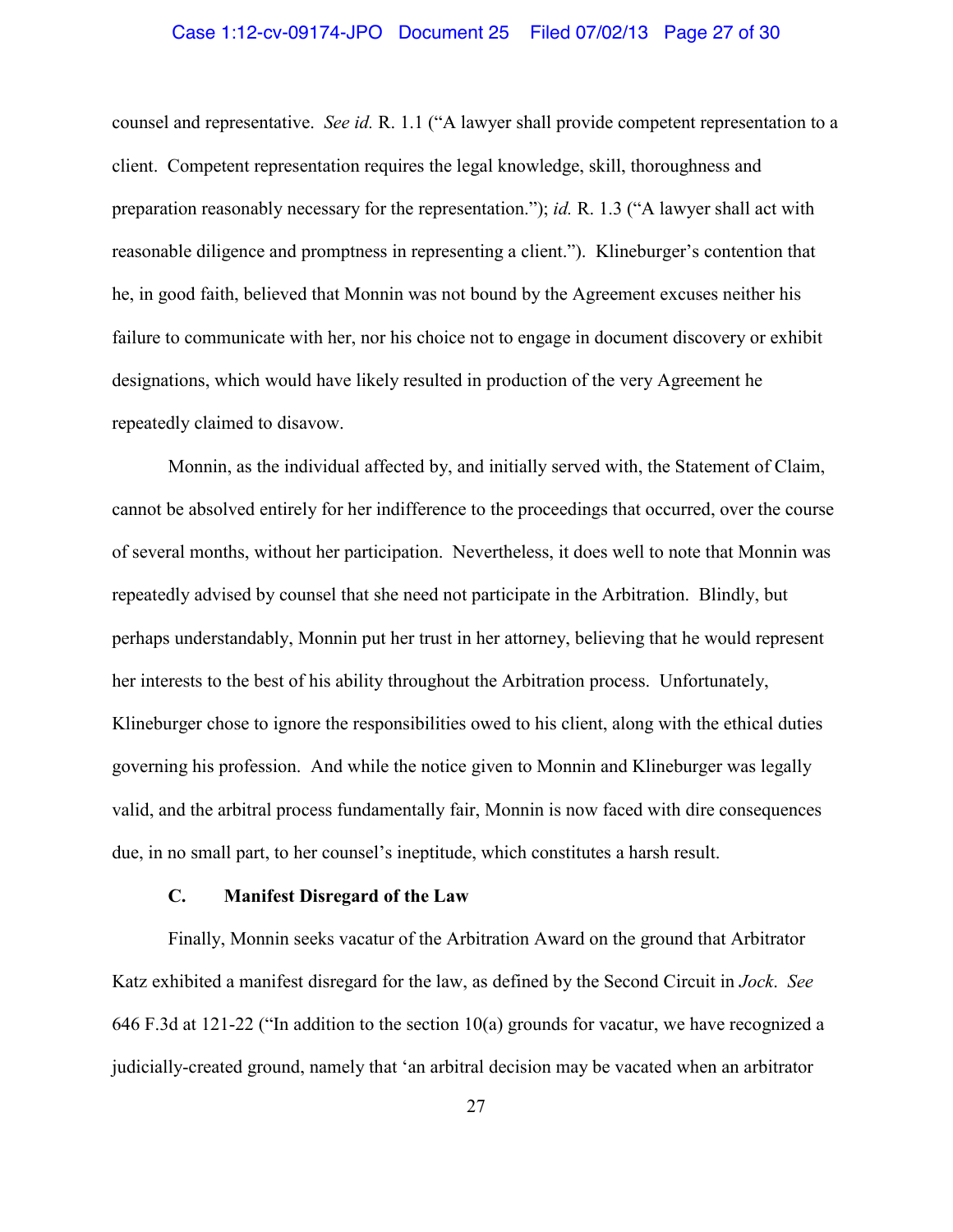### Case 1:12-cv-09174-JPO Document 25 Filed 07/02/13 Page 27 of 30

counsel and representative. *See id.* R. 1.1 ("A lawyer shall provide competent representation to a client. Competent representation requires the legal knowledge, skill, thoroughness and preparation reasonably necessary for the representation."); *id.* R. 1.3 ("A lawyer shall act with reasonable diligence and promptness in representing a client."). Klineburger's contention that he, in good faith, believed that Monnin was not bound by the Agreement excuses neither his failure to communicate with her, nor his choice not to engage in document discovery or exhibit designations, which would have likely resulted in production of the very Agreement he repeatedly claimed to disavow.

Monnin, as the individual affected by, and initially served with, the Statement of Claim, cannot be absolved entirely for her indifference to the proceedings that occurred, over the course of several months, without her participation. Nevertheless, it does well to note that Monnin was repeatedly advised by counsel that she need not participate in the Arbitration. Blindly, but perhaps understandably, Monnin put her trust in her attorney, believing that he would represent her interests to the best of his ability throughout the Arbitration process. Unfortunately, Klineburger chose to ignore the responsibilities owed to his client, along with the ethical duties governing his profession. And while the notice given to Monnin and Klineburger was legally valid, and the arbitral process fundamentally fair, Monnin is now faced with dire consequences due, in no small part, to her counsel's ineptitude, which constitutes a harsh result.

# **C. Manifest Disregard of the Law**

Finally, Monnin seeks vacatur of the Arbitration Award on the ground that Arbitrator Katz exhibited a manifest disregard for the law, as defined by the Second Circuit in *Jock*. *See*  646 F.3d at 121-22 ("In addition to the section 10(a) grounds for vacatur, we have recognized a judicially-created ground, namely that 'an arbitral decision may be vacated when an arbitrator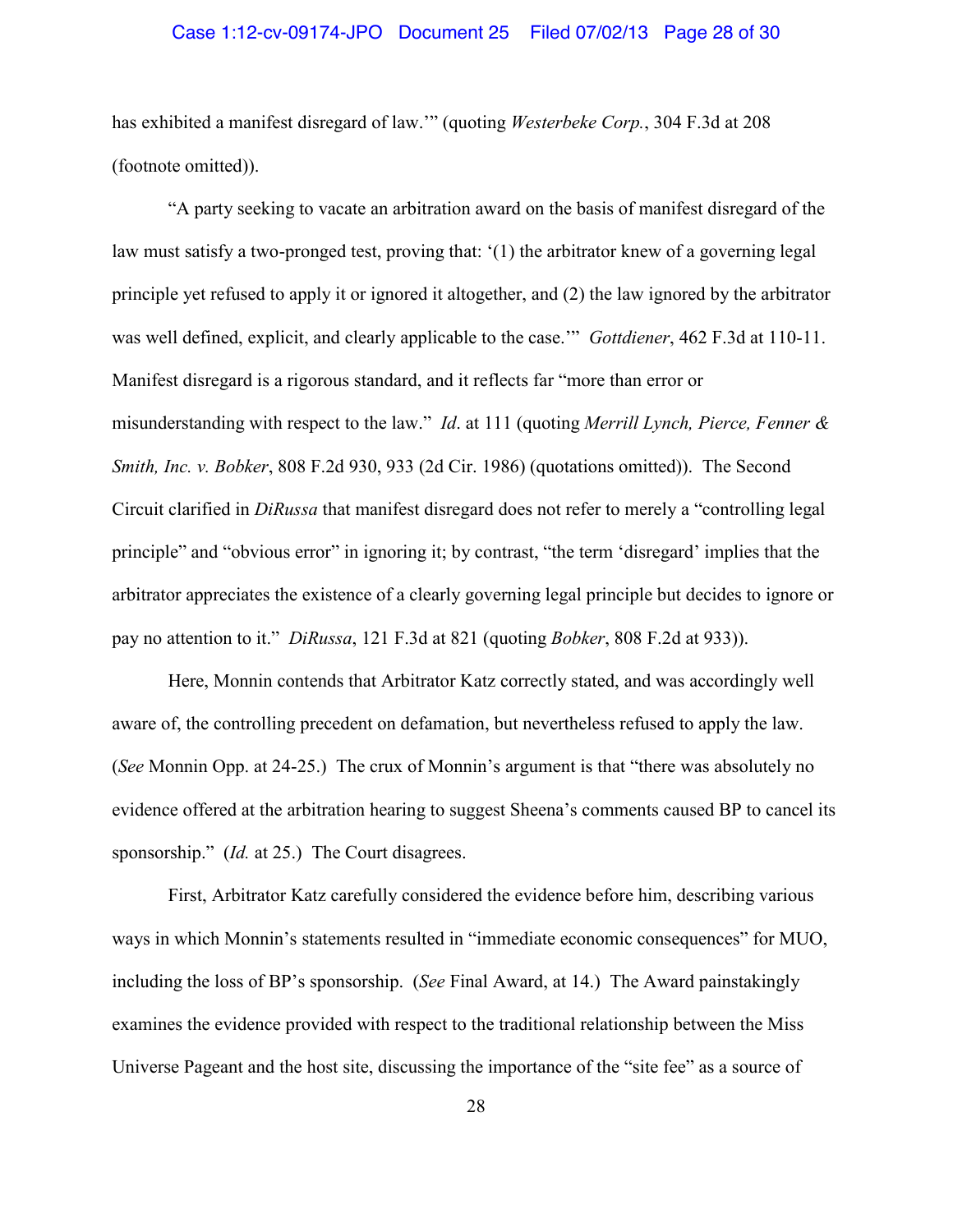### Case 1:12-cv-09174-JPO Document 25 Filed 07/02/13 Page 28 of 30

has exhibited a manifest disregard of law.'" (quoting *Westerbeke Corp.*, 304 F.3d at 208 (footnote omitted)).

"A party seeking to vacate an arbitration award on the basis of manifest disregard of the law must satisfy a two-pronged test, proving that: '(1) the arbitrator knew of a governing legal principle yet refused to apply it or ignored it altogether, and (2) the law ignored by the arbitrator was well defined, explicit, and clearly applicable to the case.'" *Gottdiener*, 462 F.3d at 110-11. Manifest disregard is a rigorous standard, and it reflects far "more than error or misunderstanding with respect to the law." *Id*. at 111 (quoting *Merrill Lynch, Pierce, Fenner & Smith, Inc. v. Bobker*, 808 F.2d 930, 933 (2d Cir. 1986) (quotations omitted)). The Second Circuit clarified in *DiRussa* that manifest disregard does not refer to merely a "controlling legal principle" and "obvious error" in ignoring it; by contrast, "the term 'disregard' implies that the arbitrator appreciates the existence of a clearly governing legal principle but decides to ignore or pay no attention to it." *DiRussa*, 121 F.3d at 821 (quoting *Bobker*, 808 F.2d at 933)).

Here, Monnin contends that Arbitrator Katz correctly stated, and was accordingly well aware of, the controlling precedent on defamation, but nevertheless refused to apply the law. (*See* Monnin Opp. at 24-25.) The crux of Monnin's argument is that "there was absolutely no evidence offered at the arbitration hearing to suggest Sheena's comments caused BP to cancel its sponsorship." *(Id.* at 25.) The Court disagrees.

First, Arbitrator Katz carefully considered the evidence before him, describing various ways in which Monnin's statements resulted in "immediate economic consequences" for MUO, including the loss of BP's sponsorship. (*See* Final Award, at 14.) The Award painstakingly examines the evidence provided with respect to the traditional relationship between the Miss Universe Pageant and the host site, discussing the importance of the "site fee" as a source of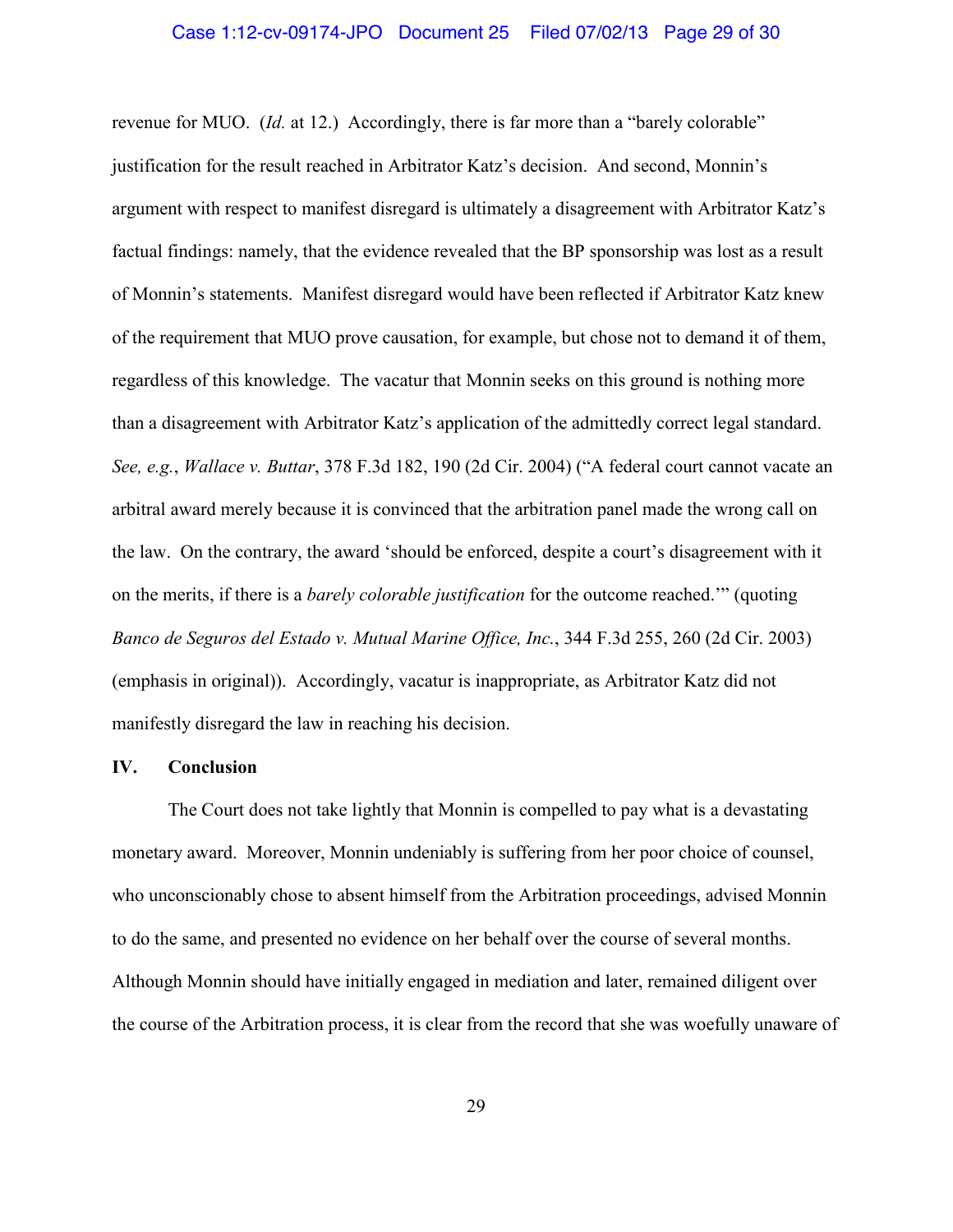revenue for MUO. *(Id.* at 12.) Accordingly, there is far more than a "barely colorable" justification for the result reached in Arbitrator Katz's decision. And second, Monnin's argument with respect to manifest disregard is ultimately a disagreement with Arbitrator Katz's factual findings: namely, that the evidence revealed that the BP sponsorship was lost as a result of Monnin's statements. Manifest disregard would have been reflected if Arbitrator Katz knew of the requirement that MUO prove causation, for example, but chose not to demand it of them, regardless of this knowledge. The vacatur that Monnin seeks on this ground is nothing more than a disagreement with Arbitrator Katz's application of the admittedly correct legal standard. *See, e.g.*, *Wallace v. Buttar*, 378 F.3d 182, 190 (2d Cir. 2004) ("A federal court cannot vacate an arbitral award merely because it is convinced that the arbitration panel made the wrong call on the law. On the contrary, the award 'should be enforced, despite a court's disagreement with it on the merits, if there is a *barely colorable justification* for the outcome reached.'" (quoting *Banco de Seguros del Estado v. Mutual Marine Office, Inc.*, 344 F.3d 255, 260 (2d Cir. 2003) (emphasis in original)). Accordingly, vacatur is inappropriate, as Arbitrator Katz did not manifestly disregard the law in reaching his decision.

# **IV. Conclusion**

The Court does not take lightly that Monnin is compelled to pay what is a devastating monetary award. Moreover, Monnin undeniably is suffering from her poor choice of counsel, who unconscionably chose to absent himself from the Arbitration proceedings, advised Monnin to do the same, and presented no evidence on her behalf over the course of several months. Although Monnin should have initially engaged in mediation and later, remained diligent over the course of the Arbitration process, it is clear from the record that she was woefully unaware of